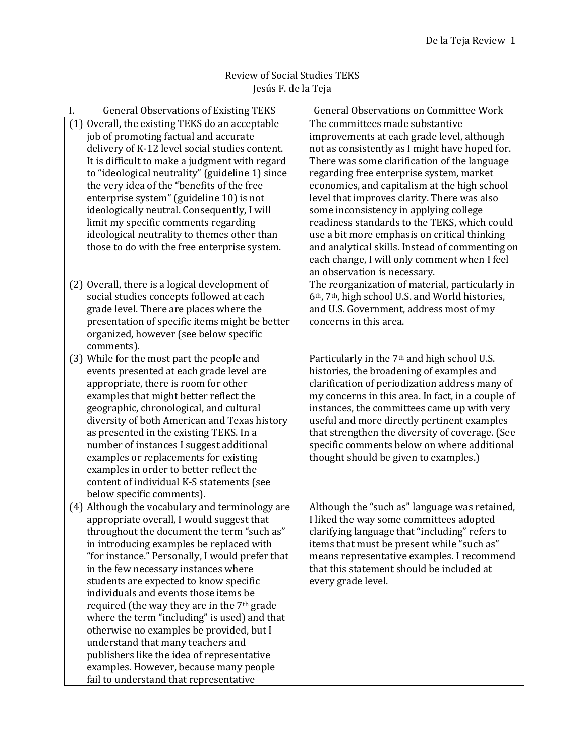## Review of Social Studies TEKS Jesús F. de la Teja

| <b>General Observations of Existing TEKS</b><br>I.      | General Observations on Committee Work                   |
|---------------------------------------------------------|----------------------------------------------------------|
| (1) Overall, the existing TEKS do an acceptable         | The committees made substantive                          |
| job of promoting factual and accurate                   | improvements at each grade level, although               |
| delivery of K-12 level social studies content.          | not as consistently as I might have hoped for.           |
| It is difficult to make a judgment with regard          | There was some clarification of the language             |
| to "ideological neutrality" (guideline 1) since         | regarding free enterprise system, market                 |
| the very idea of the "benefits of the free              | economies, and capitalism at the high school             |
| enterprise system" (guideline 10) is not                | level that improves clarity. There was also              |
| ideologically neutral. Consequently, I will             | some inconsistency in applying college                   |
| limit my specific comments regarding                    | readiness standards to the TEKS, which could             |
| ideological neutrality to themes other than             | use a bit more emphasis on critical thinking             |
| those to do with the free enterprise system.            | and analytical skills. Instead of commenting on          |
|                                                         | each change, I will only comment when I feel             |
|                                                         | an observation is necessary.                             |
| (2) Overall, there is a logical development of          | The reorganization of material, particularly in          |
| social studies concepts followed at each                | 6th, 7th, high school U.S. and World histories,          |
| grade level. There are places where the                 | and U.S. Government, address most of my                  |
| presentation of specific items might be better          | concerns in this area.                                   |
| organized, however (see below specific                  |                                                          |
| comments).                                              |                                                          |
| (3) While for the most part the people and              | Particularly in the 7 <sup>th</sup> and high school U.S. |
| events presented at each grade level are                | histories, the broadening of examples and                |
| appropriate, there is room for other                    | clarification of periodization address many of           |
| examples that might better reflect the                  | my concerns in this area. In fact, in a couple of        |
| geographic, chronological, and cultural                 | instances, the committees came up with very              |
| diversity of both American and Texas history            | useful and more directly pertinent examples              |
| as presented in the existing TEKS. In a                 | that strengthen the diversity of coverage. (See          |
| number of instances I suggest additional                | specific comments below on where additional              |
| examples or replacements for existing                   | thought should be given to examples.)                    |
| examples in order to better reflect the                 |                                                          |
| content of individual K-S statements (see               |                                                          |
| below specific comments).                               |                                                          |
| (4) Although the vocabulary and terminology are         | Although the "such as" language was retained,            |
| appropriate overall, I would suggest that               | I liked the way some committees adopted                  |
| throughout the document the term "such as"              | clarifying language that "including" refers to           |
| in introducing examples be replaced with                | items that must be present while "such as"               |
| "for instance." Personally, I would prefer that         | means representative examples. I recommend               |
| in the few necessary instances where                    | that this statement should be included at                |
| students are expected to know specific                  | every grade level.                                       |
| individuals and events those items be                   |                                                          |
| required (the way they are in the 7 <sup>th</sup> grade |                                                          |
| where the term "including" is used) and that            |                                                          |
| otherwise no examples be provided, but I                |                                                          |
| understand that many teachers and                       |                                                          |
| publishers like the idea of representative              |                                                          |
| examples. However, because many people                  |                                                          |
| fail to understand that representative                  |                                                          |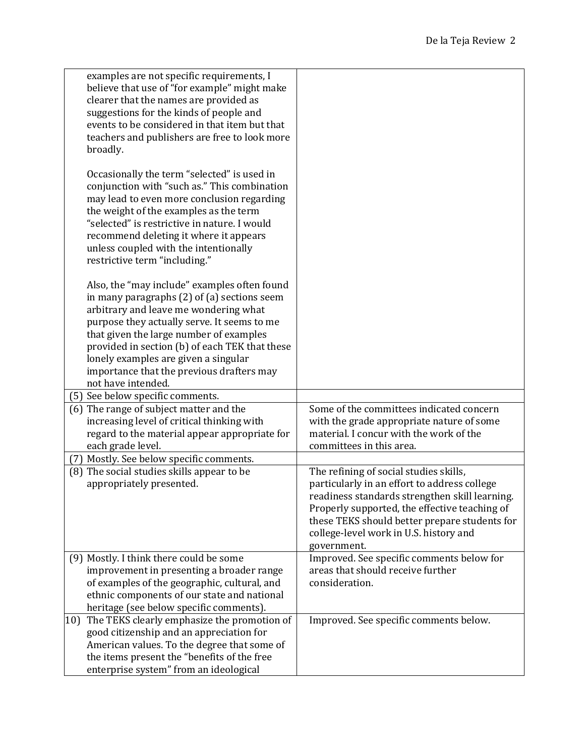| examples are not specific requirements, I<br>believe that use of "for example" might make<br>clearer that the names are provided as<br>suggestions for the kinds of people and<br>events to be considered in that item but that<br>teachers and publishers are free to look more<br>broadly.                                                                                                    |                                                                                                                                                                                                                                                                                                     |
|-------------------------------------------------------------------------------------------------------------------------------------------------------------------------------------------------------------------------------------------------------------------------------------------------------------------------------------------------------------------------------------------------|-----------------------------------------------------------------------------------------------------------------------------------------------------------------------------------------------------------------------------------------------------------------------------------------------------|
| Occasionally the term "selected" is used in<br>conjunction with "such as." This combination<br>may lead to even more conclusion regarding<br>the weight of the examples as the term<br>"selected" is restrictive in nature. I would<br>recommend deleting it where it appears<br>unless coupled with the intentionally<br>restrictive term "including."                                         |                                                                                                                                                                                                                                                                                                     |
| Also, the "may include" examples often found<br>in many paragraphs $(2)$ of $(a)$ sections seem<br>arbitrary and leave me wondering what<br>purpose they actually serve. It seems to me<br>that given the large number of examples<br>provided in section (b) of each TEK that these<br>lonely examples are given a singular<br>importance that the previous drafters may<br>not have intended. |                                                                                                                                                                                                                                                                                                     |
| (5) See below specific comments.                                                                                                                                                                                                                                                                                                                                                                |                                                                                                                                                                                                                                                                                                     |
| (6) The range of subject matter and the<br>increasing level of critical thinking with<br>regard to the material appear appropriate for<br>each grade level.                                                                                                                                                                                                                                     | Some of the committees indicated concern<br>with the grade appropriate nature of some<br>material. I concur with the work of the<br>committees in this area.                                                                                                                                        |
| Mostly. See below specific comments.<br>(7)                                                                                                                                                                                                                                                                                                                                                     |                                                                                                                                                                                                                                                                                                     |
| (8) The social studies skills appear to be<br>appropriately presented.                                                                                                                                                                                                                                                                                                                          | The refining of social studies skills,<br>particularly in an effort to address college<br>readiness standards strengthen skill learning.<br>Properly supported, the effective teaching of<br>these TEKS should better prepare students for<br>college-level work in U.S. history and<br>government. |
| (9) Mostly. I think there could be some<br>improvement in presenting a broader range<br>of examples of the geographic, cultural, and<br>ethnic components of our state and national<br>heritage (see below specific comments).                                                                                                                                                                  | Improved. See specific comments below for<br>areas that should receive further<br>consideration.                                                                                                                                                                                                    |
| The TEKS clearly emphasize the promotion of<br>10)<br>good citizenship and an appreciation for<br>American values. To the degree that some of<br>the items present the "benefits of the free<br>enterprise system" from an ideological                                                                                                                                                          | Improved. See specific comments below.                                                                                                                                                                                                                                                              |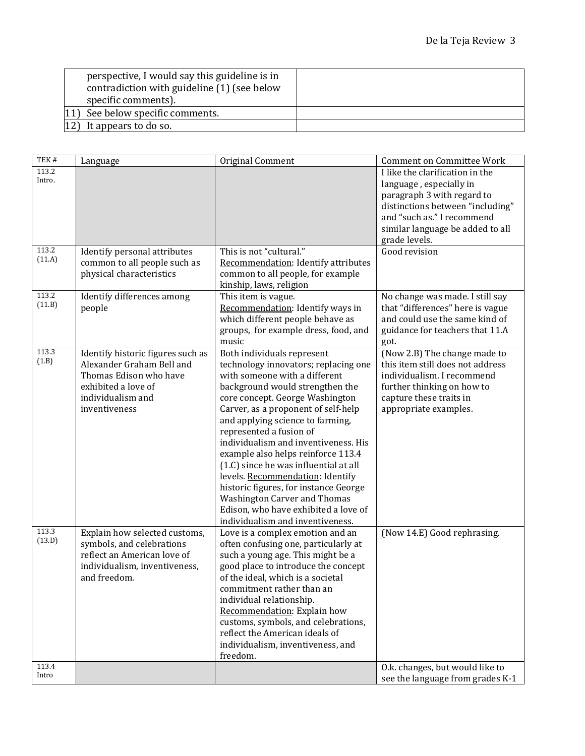| perspective, I would say this guideline is in<br>contradiction with guideline (1) (see below<br>specific comments). |  |
|---------------------------------------------------------------------------------------------------------------------|--|
| [11] See below specific comments.                                                                                   |  |
| It appears to do so.                                                                                                |  |

| TEK#   | Language                          | Original Comment                      | <b>Comment on Committee Work</b> |
|--------|-----------------------------------|---------------------------------------|----------------------------------|
| 113.2  |                                   |                                       | I like the clarification in the  |
| Intro. |                                   |                                       | language, especially in          |
|        |                                   |                                       | paragraph 3 with regard to       |
|        |                                   |                                       | distinctions between "including" |
|        |                                   |                                       | and "such as." I recommend       |
|        |                                   |                                       | similar language be added to all |
|        |                                   |                                       | grade levels.                    |
| 113.2  | Identify personal attributes      | This is not "cultural."               | Good revision                    |
| (11.A) | common to all people such as      | Recommendation: Identify attributes   |                                  |
|        | physical characteristics          | common to all people, for example     |                                  |
|        |                                   | kinship, laws, religion               |                                  |
| 113.2  | Identify differences among        | This item is vague.                   | No change was made. I still say  |
| (11.B) | people                            | Recommendation: Identify ways in      | that "differences" here is vague |
|        |                                   | which different people behave as      | and could use the same kind of   |
|        |                                   | groups, for example dress, food, and  | guidance for teachers that 11.A  |
|        |                                   | music                                 | got.                             |
| 113.3  | Identify historic figures such as | Both individuals represent            | (Now 2.B) The change made to     |
| (1.B)  | Alexander Graham Bell and         | technology innovators; replacing one  | this item still does not address |
|        | Thomas Edison who have            | with someone with a different         | individualism. I recommend       |
|        | exhibited a love of               | background would strengthen the       | further thinking on how to       |
|        | individualism and                 | core concept. George Washington       | capture these traits in          |
|        | inventiveness                     | Carver, as a proponent of self-help   | appropriate examples.            |
|        |                                   | and applying science to farming,      |                                  |
|        |                                   | represented a fusion of               |                                  |
|        |                                   | individualism and inventiveness. His  |                                  |
|        |                                   | example also helps reinforce 113.4    |                                  |
|        |                                   | (1.C) since he was influential at all |                                  |
|        |                                   | levels. Recommendation: Identify      |                                  |
|        |                                   | historic figures, for instance George |                                  |
|        |                                   | <b>Washington Carver and Thomas</b>   |                                  |
|        |                                   | Edison, who have exhibited a love of  |                                  |
|        |                                   | individualism and inventiveness.      |                                  |
| 113.3  | Explain how selected customs,     | Love is a complex emotion and an      | (Now 14.E) Good rephrasing.      |
| (13.D) | symbols, and celebrations         | often confusing one, particularly at  |                                  |
|        | reflect an American love of       | such a young age. This might be a     |                                  |
|        | individualism, inventiveness,     | good place to introduce the concept   |                                  |
|        | and freedom.                      | of the ideal, which is a societal     |                                  |
|        |                                   | commitment rather than an             |                                  |
|        |                                   | individual relationship.              |                                  |
|        |                                   | Recommendation: Explain how           |                                  |
|        |                                   | customs, symbols, and celebrations,   |                                  |
|        |                                   | reflect the American ideals of        |                                  |
|        |                                   | individualism, inventiveness, and     |                                  |
|        |                                   | freedom.                              |                                  |
| 113.4  |                                   |                                       | O.k. changes, but would like to  |
| Intro  |                                   |                                       | see the language from grades K-1 |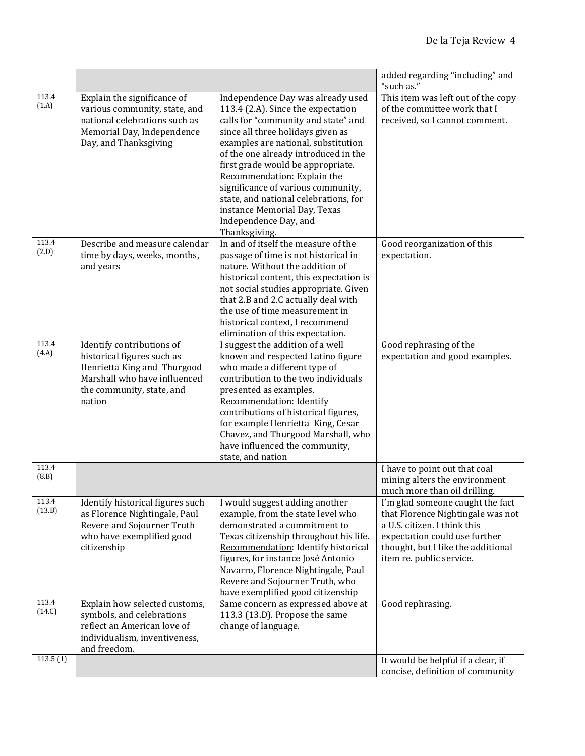|                 |                                                                                                                                                               |                                                                                                                                                                                                                                                                                                                                                                                                                                                                 | added regarding "including" and<br>"such as."                                                                                                                                                            |
|-----------------|---------------------------------------------------------------------------------------------------------------------------------------------------------------|-----------------------------------------------------------------------------------------------------------------------------------------------------------------------------------------------------------------------------------------------------------------------------------------------------------------------------------------------------------------------------------------------------------------------------------------------------------------|----------------------------------------------------------------------------------------------------------------------------------------------------------------------------------------------------------|
| 113.4<br>(1.A)  | Explain the significance of<br>various community, state, and<br>national celebrations such as<br>Memorial Day, Independence<br>Day, and Thanksgiving          | Independence Day was already used<br>113.4 (2.A). Since the expectation<br>calls for "community and state" and<br>since all three holidays given as<br>examples are national, substitution<br>of the one already introduced in the<br>first grade would be appropriate.<br>Recommendation: Explain the<br>significance of various community,<br>state, and national celebrations, for<br>instance Memorial Day, Texas<br>Independence Day, and<br>Thanksgiving. | This item was left out of the copy<br>of the committee work that I<br>received, so I cannot comment.                                                                                                     |
| 113.4<br>(2.D)  | Describe and measure calendar<br>time by days, weeks, months,<br>and years                                                                                    | In and of itself the measure of the<br>passage of time is not historical in<br>nature. Without the addition of<br>historical content, this expectation is<br>not social studies appropriate. Given<br>that 2.B and 2.C actually deal with<br>the use of time measurement in<br>historical context. I recommend<br>elimination of this expectation.                                                                                                              | Good reorganization of this<br>expectation.                                                                                                                                                              |
| 113.4<br>(4.A)  | Identify contributions of<br>historical figures such as<br>Henrietta King and Thurgood<br>Marshall who have influenced<br>the community, state, and<br>nation | I suggest the addition of a well<br>known and respected Latino figure<br>who made a different type of<br>contribution to the two individuals<br>presented as examples.<br>Recommendation: Identify<br>contributions of historical figures,<br>for example Henrietta King, Cesar<br>Chavez, and Thurgood Marshall, who<br>have influenced the community,<br>state, and nation                                                                                    | Good rephrasing of the<br>expectation and good examples.                                                                                                                                                 |
| 113.4<br>(8.B)  |                                                                                                                                                               |                                                                                                                                                                                                                                                                                                                                                                                                                                                                 | I have to point out that coal<br>mining alters the environment<br>much more than oil drilling.                                                                                                           |
| 113.4<br>(13.B) | Identify historical figures such<br>as Florence Nightingale, Paul<br>Revere and Sojourner Truth<br>who have exemplified good<br>citizenship                   | I would suggest adding another<br>example, from the state level who<br>demonstrated a commitment to<br>Texas citizenship throughout his life.<br>Recommendation: Identify historical<br>figures, for instance José Antonio<br>Navarro, Florence Nightingale, Paul<br>Revere and Sojourner Truth, who<br>have exemplified good citizenship                                                                                                                       | I'm glad someone caught the fact<br>that Florence Nightingale was not<br>a U.S. citizen. I think this<br>expectation could use further<br>thought, but I like the additional<br>item re. public service. |
| 113.4<br>(14.C) | Explain how selected customs,<br>symbols, and celebrations<br>reflect an American love of<br>individualism, inventiveness,<br>and freedom.                    | Same concern as expressed above at<br>113.3 (13.D). Propose the same<br>change of language.                                                                                                                                                                                                                                                                                                                                                                     | Good rephrasing.                                                                                                                                                                                         |
| 113.5(1)        |                                                                                                                                                               |                                                                                                                                                                                                                                                                                                                                                                                                                                                                 | It would be helpful if a clear, if<br>concise, definition of community                                                                                                                                   |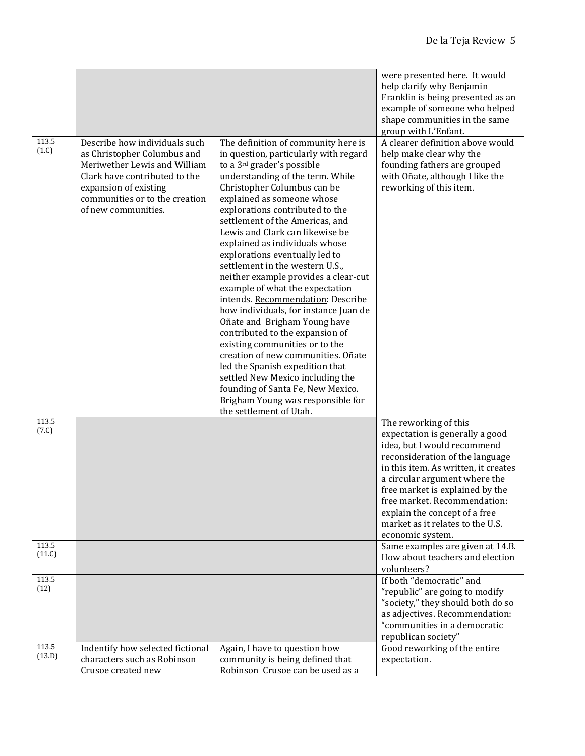|                 |                                                                                                                                                                                                                 |                                                                                                                                                                                                                                                                                                                                                                                                                                                                                                                                                                                                                                                                                                                                                                                                                                                                                                                         | were presented here. It would<br>help clarify why Benjamin<br>Franklin is being presented as an<br>example of someone who helped<br>shape communities in the same<br>group with L'Enfant.                                                                                                                                                                       |
|-----------------|-----------------------------------------------------------------------------------------------------------------------------------------------------------------------------------------------------------------|-------------------------------------------------------------------------------------------------------------------------------------------------------------------------------------------------------------------------------------------------------------------------------------------------------------------------------------------------------------------------------------------------------------------------------------------------------------------------------------------------------------------------------------------------------------------------------------------------------------------------------------------------------------------------------------------------------------------------------------------------------------------------------------------------------------------------------------------------------------------------------------------------------------------------|-----------------------------------------------------------------------------------------------------------------------------------------------------------------------------------------------------------------------------------------------------------------------------------------------------------------------------------------------------------------|
| 113.5<br>(1.C)  | Describe how individuals such<br>as Christopher Columbus and<br>Meriwether Lewis and William<br>Clark have contributed to the<br>expansion of existing<br>communities or to the creation<br>of new communities. | The definition of community here is<br>in question, particularly with regard<br>to a 3 <sup>rd</sup> grader's possible<br>understanding of the term. While<br>Christopher Columbus can be<br>explained as someone whose<br>explorations contributed to the<br>settlement of the Americas, and<br>Lewis and Clark can likewise be<br>explained as individuals whose<br>explorations eventually led to<br>settlement in the western U.S.,<br>neither example provides a clear-cut<br>example of what the expectation<br>intends. Recommendation: Describe<br>how individuals, for instance Juan de<br>Oñate and Brigham Young have<br>contributed to the expansion of<br>existing communities or to the<br>creation of new communities. Oñate<br>led the Spanish expedition that<br>settled New Mexico including the<br>founding of Santa Fe, New Mexico.<br>Brigham Young was responsible for<br>the settlement of Utah. | A clearer definition above would<br>help make clear why the<br>founding fathers are grouped<br>with Oñate, although I like the<br>reworking of this item.                                                                                                                                                                                                       |
| 113.5<br>(7.C)  |                                                                                                                                                                                                                 |                                                                                                                                                                                                                                                                                                                                                                                                                                                                                                                                                                                                                                                                                                                                                                                                                                                                                                                         | The reworking of this<br>expectation is generally a good<br>idea, but I would recommend<br>reconsideration of the language<br>in this item. As written, it creates<br>a circular argument where the<br>free market is explained by the<br>free market. Recommendation:<br>explain the concept of a free<br>market as it relates to the U.S.<br>economic system. |
| 113.5<br>(11.C) |                                                                                                                                                                                                                 |                                                                                                                                                                                                                                                                                                                                                                                                                                                                                                                                                                                                                                                                                                                                                                                                                                                                                                                         | Same examples are given at 14.B.<br>How about teachers and election<br>volunteers?                                                                                                                                                                                                                                                                              |
| 113.5<br>(12)   |                                                                                                                                                                                                                 |                                                                                                                                                                                                                                                                                                                                                                                                                                                                                                                                                                                                                                                                                                                                                                                                                                                                                                                         | If both "democratic" and<br>"republic" are going to modify<br>"society," they should both do so<br>as adjectives. Recommendation:<br>"communities in a democratic<br>republican society"                                                                                                                                                                        |
| 113.5<br>(13.D) | Indentify how selected fictional<br>characters such as Robinson<br>Crusoe created new                                                                                                                           | Again, I have to question how<br>community is being defined that<br>Robinson Crusoe can be used as a                                                                                                                                                                                                                                                                                                                                                                                                                                                                                                                                                                                                                                                                                                                                                                                                                    | Good reworking of the entire<br>expectation.                                                                                                                                                                                                                                                                                                                    |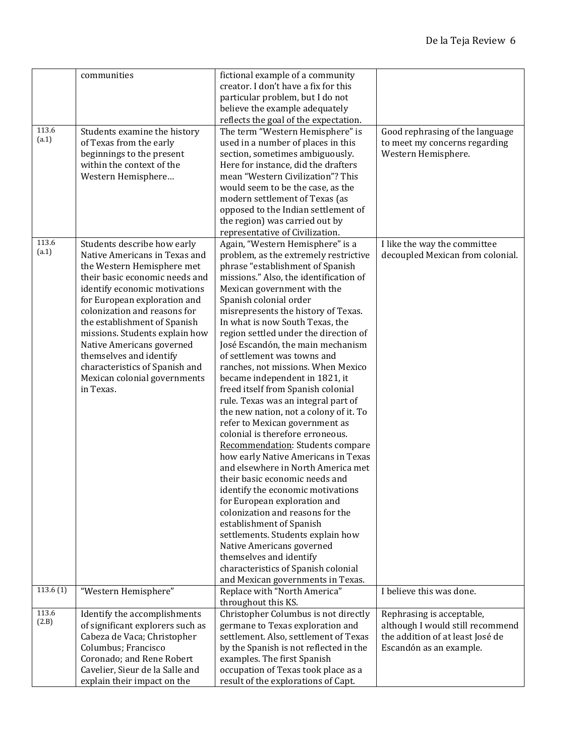|          | communities                                                  | fictional example of a community                                        |                                  |
|----------|--------------------------------------------------------------|-------------------------------------------------------------------------|----------------------------------|
|          |                                                              | creator. I don't have a fix for this                                    |                                  |
|          |                                                              | particular problem, but I do not                                        |                                  |
|          |                                                              | believe the example adequately                                          |                                  |
|          |                                                              | reflects the goal of the expectation.                                   |                                  |
| 113.6    | Students examine the history                                 | The term "Western Hemisphere" is                                        | Good rephrasing of the language  |
| (a.1)    | of Texas from the early                                      | used in a number of places in this                                      | to meet my concerns regarding    |
|          | beginnings to the present                                    | section, sometimes ambiguously.                                         | Western Hemisphere.              |
|          | within the context of the                                    | Here for instance, did the drafters                                     |                                  |
|          | Western Hemisphere                                           | mean "Western Civilization"? This                                       |                                  |
|          |                                                              | would seem to be the case, as the                                       |                                  |
|          |                                                              | modern settlement of Texas (as                                          |                                  |
|          |                                                              | opposed to the Indian settlement of                                     |                                  |
|          |                                                              | the region) was carried out by                                          |                                  |
|          |                                                              | representative of Civilization.                                         |                                  |
| 113.6    | Students describe how early                                  | Again, "Western Hemisphere" is a                                        | I like the way the committee     |
| (a.1)    | Native Americans in Texas and                                |                                                                         | decoupled Mexican from colonial. |
|          |                                                              | problem, as the extremely restrictive                                   |                                  |
|          | the Western Hemisphere met                                   | phrase "establishment of Spanish                                        |                                  |
|          | their basic economic needs and                               | missions." Also, the identification of                                  |                                  |
|          | identify economic motivations                                | Mexican government with the<br>Spanish colonial order                   |                                  |
|          | for European exploration and<br>colonization and reasons for |                                                                         |                                  |
|          |                                                              | misrepresents the history of Texas.<br>In what is now South Texas, the  |                                  |
|          | the establishment of Spanish                                 |                                                                         |                                  |
|          | missions. Students explain how                               | region settled under the direction of                                   |                                  |
|          | Native Americans governed                                    | José Escandón, the main mechanism                                       |                                  |
|          | themselves and identify                                      | of settlement was towns and                                             |                                  |
|          | characteristics of Spanish and                               | ranches, not missions. When Mexico                                      |                                  |
|          | Mexican colonial governments                                 | became independent in 1821, it                                          |                                  |
|          | in Texas.                                                    | freed itself from Spanish colonial                                      |                                  |
|          |                                                              | rule. Texas was an integral part of                                     |                                  |
|          |                                                              | the new nation, not a colony of it. To                                  |                                  |
|          |                                                              | refer to Mexican government as<br>colonial is therefore erroneous.      |                                  |
|          |                                                              |                                                                         |                                  |
|          |                                                              | Recommendation: Students compare<br>how early Native Americans in Texas |                                  |
|          |                                                              | and elsewhere in North America met                                      |                                  |
|          |                                                              | their basic economic needs and                                          |                                  |
|          |                                                              | identify the economic motivations                                       |                                  |
|          |                                                              | for European exploration and                                            |                                  |
|          |                                                              | colonization and reasons for the                                        |                                  |
|          |                                                              | establishment of Spanish                                                |                                  |
|          |                                                              | settlements. Students explain how                                       |                                  |
|          |                                                              | Native Americans governed                                               |                                  |
|          |                                                              | themselves and identify                                                 |                                  |
|          |                                                              | characteristics of Spanish colonial                                     |                                  |
|          |                                                              | and Mexican governments in Texas.                                       |                                  |
| 113.6(1) | "Western Hemisphere"                                         | Replace with "North America"                                            | I believe this was done.         |
|          |                                                              | throughout this KS.                                                     |                                  |
| 113.6    | Identify the accomplishments                                 | Christopher Columbus is not directly                                    | Rephrasing is acceptable,        |
| (2.B)    | of significant explorers such as                             | germane to Texas exploration and                                        | although I would still recommend |
|          | Cabeza de Vaca; Christopher                                  | settlement. Also, settlement of Texas                                   | the addition of at least José de |
|          | Columbus; Francisco                                          | by the Spanish is not reflected in the                                  | Escandón as an example.          |
|          | Coronado; and Rene Robert                                    | examples. The first Spanish                                             |                                  |
|          | Cavelier, Sieur de la Salle and                              | occupation of Texas took place as a                                     |                                  |
|          | explain their impact on the                                  | result of the explorations of Capt.                                     |                                  |
|          |                                                              |                                                                         |                                  |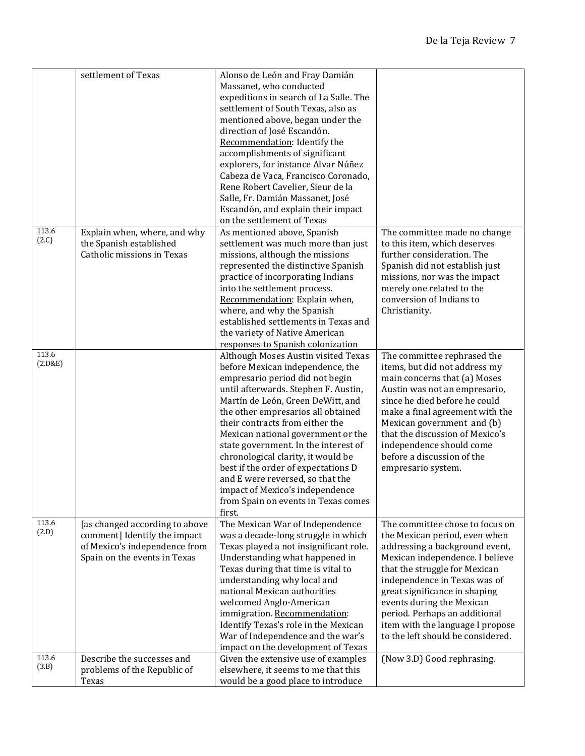|                | settlement of Texas            | Alonso de León and Fray Damián                                             |                                   |
|----------------|--------------------------------|----------------------------------------------------------------------------|-----------------------------------|
|                |                                |                                                                            |                                   |
|                |                                | Massanet, who conducted                                                    |                                   |
|                |                                | expeditions in search of La Salle. The                                     |                                   |
|                |                                | settlement of South Texas, also as                                         |                                   |
|                |                                | mentioned above, began under the                                           |                                   |
|                |                                | direction of José Escandón.                                                |                                   |
|                |                                | Recommendation: Identify the                                               |                                   |
|                |                                | accomplishments of significant                                             |                                   |
|                |                                | explorers, for instance Alvar Núñez                                        |                                   |
|                |                                | Cabeza de Vaca, Francisco Coronado,                                        |                                   |
|                |                                | Rene Robert Cavelier, Sieur de la                                          |                                   |
|                |                                |                                                                            |                                   |
|                |                                | Salle, Fr. Damián Massanet, José                                           |                                   |
|                |                                | Escandón, and explain their impact                                         |                                   |
|                |                                | on the settlement of Texas                                                 |                                   |
| 113.6          | Explain when, where, and why   | As mentioned above, Spanish                                                | The committee made no change      |
| (2.C)          | the Spanish established        | settlement was much more than just                                         | to this item, which deserves      |
|                | Catholic missions in Texas     | missions, although the missions                                            | further consideration. The        |
|                |                                | represented the distinctive Spanish                                        | Spanish did not establish just    |
|                |                                | practice of incorporating Indians                                          | missions, nor was the impact      |
|                |                                | into the settlement process.                                               | merely one related to the         |
|                |                                | Recommendation: Explain when,                                              | conversion of Indians to          |
|                |                                | where, and why the Spanish                                                 | Christianity.                     |
|                |                                | established settlements in Texas and                                       |                                   |
|                |                                | the variety of Native American                                             |                                   |
|                |                                |                                                                            |                                   |
| 113.6          |                                | responses to Spanish colonization                                          |                                   |
| (2.D&E)        |                                | Although Moses Austin visited Texas                                        | The committee rephrased the       |
|                |                                | before Mexican independence, the                                           | items, but did not address my     |
|                |                                | empresario period did not begin                                            | main concerns that (a) Moses      |
|                |                                | until afterwards. Stephen F. Austin,                                       | Austin was not an empresario,     |
|                |                                | Martín de León, Green DeWitt, and                                          | since he died before he could     |
|                |                                | the other empresarios all obtained                                         | make a final agreement with the   |
|                |                                | their contracts from either the                                            | Mexican government and (b)        |
|                |                                | Mexican national government or the                                         | that the discussion of Mexico's   |
|                |                                | state government. In the interest of                                       | independence should come          |
|                |                                | chronological clarity, it would be                                         | before a discussion of the        |
|                |                                | best if the order of expectations D                                        | empresario system.                |
|                |                                | and E were reversed, so that the                                           |                                   |
|                |                                |                                                                            |                                   |
|                |                                | impact of Mexico's independence                                            |                                   |
|                |                                | from Spain on events in Texas comes                                        |                                   |
|                |                                | first.                                                                     |                                   |
| 113.6<br>(2.D) | [as changed according to above | The Mexican War of Independence                                            | The committee chose to focus on   |
|                | comment] Identify the impact   | was a decade-long struggle in which                                        | the Mexican period, even when     |
|                | of Mexico's independence from  | Texas played a not insignificant role.                                     | addressing a background event,    |
|                | Spain on the events in Texas   | Understanding what happened in                                             | Mexican independence. I believe   |
|                |                                | Texas during that time is vital to                                         | that the struggle for Mexican     |
|                |                                | understanding why local and                                                | independence in Texas was of      |
|                |                                | national Mexican authorities                                               | great significance in shaping     |
|                |                                | welcomed Anglo-American                                                    | events during the Mexican         |
|                |                                | immigration. Recommendation:                                               | period. Perhaps an additional     |
|                |                                | Identify Texas's role in the Mexican                                       | item with the language I propose  |
|                |                                | War of Independence and the war's                                          | to the left should be considered. |
|                |                                | impact on the development of Texas                                         |                                   |
| 113.6          | Describe the successes and     |                                                                            |                                   |
| (3.B)          |                                | Given the extensive use of examples<br>elsewhere, it seems to me that this | (Now 3.D) Good rephrasing.        |
|                | problems of the Republic of    |                                                                            |                                   |
|                | Texas                          | would be a good place to introduce                                         |                                   |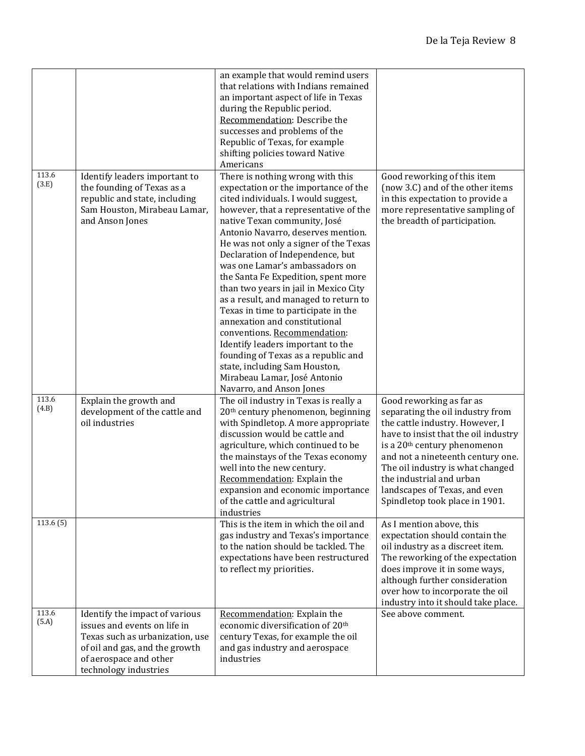|                |                                                                                                                                                                                        | an example that would remind users<br>that relations with Indians remained<br>an important aspect of life in Texas<br>during the Republic period.<br>Recommendation: Describe the<br>successes and problems of the<br>Republic of Texas, for example<br>shifting policies toward Native<br>Americans                                                                                                                                                                                                                                                                                                                                                                                                                                                    |                                                                                                                                                                                                                                                                                                                                                             |
|----------------|----------------------------------------------------------------------------------------------------------------------------------------------------------------------------------------|---------------------------------------------------------------------------------------------------------------------------------------------------------------------------------------------------------------------------------------------------------------------------------------------------------------------------------------------------------------------------------------------------------------------------------------------------------------------------------------------------------------------------------------------------------------------------------------------------------------------------------------------------------------------------------------------------------------------------------------------------------|-------------------------------------------------------------------------------------------------------------------------------------------------------------------------------------------------------------------------------------------------------------------------------------------------------------------------------------------------------------|
| 113.6<br>(3.E) | Identify leaders important to<br>the founding of Texas as a<br>republic and state, including<br>Sam Houston, Mirabeau Lamar,<br>and Anson Jones                                        | There is nothing wrong with this<br>expectation or the importance of the<br>cited individuals. I would suggest,<br>however, that a representative of the<br>native Texan community, José<br>Antonio Navarro, deserves mention.<br>He was not only a signer of the Texas<br>Declaration of Independence, but<br>was one Lamar's ambassadors on<br>the Santa Fe Expedition, spent more<br>than two years in jail in Mexico City<br>as a result, and managed to return to<br>Texas in time to participate in the<br>annexation and constitutional<br>conventions. Recommendation:<br>Identify leaders important to the<br>founding of Texas as a republic and<br>state, including Sam Houston,<br>Mirabeau Lamar, José Antonio<br>Navarro, and Anson Jones | Good reworking of this item<br>(now 3.C) and of the other items<br>in this expectation to provide a<br>more representative sampling of<br>the breadth of participation.                                                                                                                                                                                     |
| 113.6<br>(4.B) | Explain the growth and<br>development of the cattle and<br>oil industries                                                                                                              | The oil industry in Texas is really a<br>20 <sup>th</sup> century phenomenon, beginning<br>with Spindletop. A more appropriate<br>discussion would be cattle and<br>agriculture, which continued to be<br>the mainstays of the Texas economy<br>well into the new century.<br>Recommendation: Explain the<br>expansion and economic importance<br>of the cattle and agricultural<br>industries                                                                                                                                                                                                                                                                                                                                                          | Good reworking as far as<br>separating the oil industry from<br>the cattle industry. However, I<br>have to insist that the oil industry<br>is a 20 <sup>th</sup> century phenomenon<br>and not a nineteenth century one.<br>The oil industry is what changed<br>the industrial and urban<br>landscapes of Texas, and even<br>Spindletop took place in 1901. |
| 113.6(5)       |                                                                                                                                                                                        | This is the item in which the oil and<br>gas industry and Texas's importance<br>to the nation should be tackled. The<br>expectations have been restructured<br>to reflect my priorities.                                                                                                                                                                                                                                                                                                                                                                                                                                                                                                                                                                | As I mention above, this<br>expectation should contain the<br>oil industry as a discreet item.<br>The reworking of the expectation<br>does improve it in some ways,<br>although further consideration<br>over how to incorporate the oil<br>industry into it should take place.                                                                             |
| 113.6<br>(5.A) | Identify the impact of various<br>issues and events on life in<br>Texas such as urbanization, use<br>of oil and gas, and the growth<br>of aerospace and other<br>technology industries | Recommendation: Explain the<br>economic diversification of 20 <sup>th</sup><br>century Texas, for example the oil<br>and gas industry and aerospace<br>industries                                                                                                                                                                                                                                                                                                                                                                                                                                                                                                                                                                                       | See above comment.                                                                                                                                                                                                                                                                                                                                          |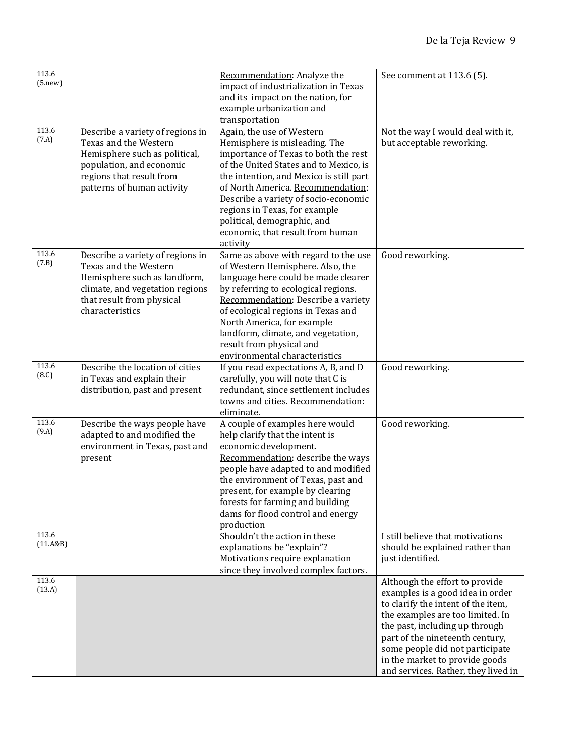| 113.6<br>(5. new) |                                                                                                                                                                                  | Recommendation: Analyze the<br>impact of industrialization in Texas<br>and its impact on the nation, for<br>example urbanization and<br>transportation                                                                                                                                                                                                                               | See comment at 113.6 (5).                                                                                                                                                                                                                                                                                                     |
|-------------------|----------------------------------------------------------------------------------------------------------------------------------------------------------------------------------|--------------------------------------------------------------------------------------------------------------------------------------------------------------------------------------------------------------------------------------------------------------------------------------------------------------------------------------------------------------------------------------|-------------------------------------------------------------------------------------------------------------------------------------------------------------------------------------------------------------------------------------------------------------------------------------------------------------------------------|
| 113.6<br>(7.A)    | Describe a variety of regions in<br>Texas and the Western<br>Hemisphere such as political,<br>population, and economic<br>regions that result from<br>patterns of human activity | Again, the use of Western<br>Hemisphere is misleading. The<br>importance of Texas to both the rest<br>of the United States and to Mexico, is<br>the intention, and Mexico is still part<br>of North America. Recommendation:<br>Describe a variety of socio-economic<br>regions in Texas, for example<br>political, demographic, and<br>economic, that result from human<br>activity | Not the way I would deal with it,<br>but acceptable reworking.                                                                                                                                                                                                                                                                |
| 113.6<br>(7.B)    | Describe a variety of regions in<br>Texas and the Western<br>Hemisphere such as landform,<br>climate, and vegetation regions<br>that result from physical<br>characteristics     | Same as above with regard to the use<br>of Western Hemisphere. Also, the<br>language here could be made clearer<br>by referring to ecological regions.<br>Recommendation: Describe a variety<br>of ecological regions in Texas and<br>North America, for example<br>landform, climate, and vegetation,<br>result from physical and<br>environmental characteristics                  | Good reworking.                                                                                                                                                                                                                                                                                                               |
| 113.6<br>(8.C)    | Describe the location of cities<br>in Texas and explain their<br>distribution, past and present                                                                                  | If you read expectations A, B, and D<br>carefully, you will note that C is<br>redundant, since settlement includes<br>towns and cities. Recommendation:<br>eliminate.                                                                                                                                                                                                                | Good reworking.                                                                                                                                                                                                                                                                                                               |
| 113.6<br>(9.A)    | Describe the ways people have<br>adapted to and modified the<br>environment in Texas, past and<br>present                                                                        | A couple of examples here would<br>help clarify that the intent is<br>economic development.<br>Recommendation: describe the ways<br>people have adapted to and modified<br>the environment of Texas, past and<br>present, for example by clearing<br>forests for farming and building<br>dams for flood control and energy<br>production                                             | Good reworking.                                                                                                                                                                                                                                                                                                               |
| 113.6<br>(11.A&B) |                                                                                                                                                                                  | Shouldn't the action in these<br>explanations be "explain"?<br>Motivations require explanation<br>since they involved complex factors.                                                                                                                                                                                                                                               | I still believe that motivations<br>should be explained rather than<br>just identified.                                                                                                                                                                                                                                       |
| 113.6<br>(13.A)   |                                                                                                                                                                                  |                                                                                                                                                                                                                                                                                                                                                                                      | Although the effort to provide<br>examples is a good idea in order<br>to clarify the intent of the item,<br>the examples are too limited. In<br>the past, including up through<br>part of the nineteenth century,<br>some people did not participate<br>in the market to provide goods<br>and services. Rather, they lived in |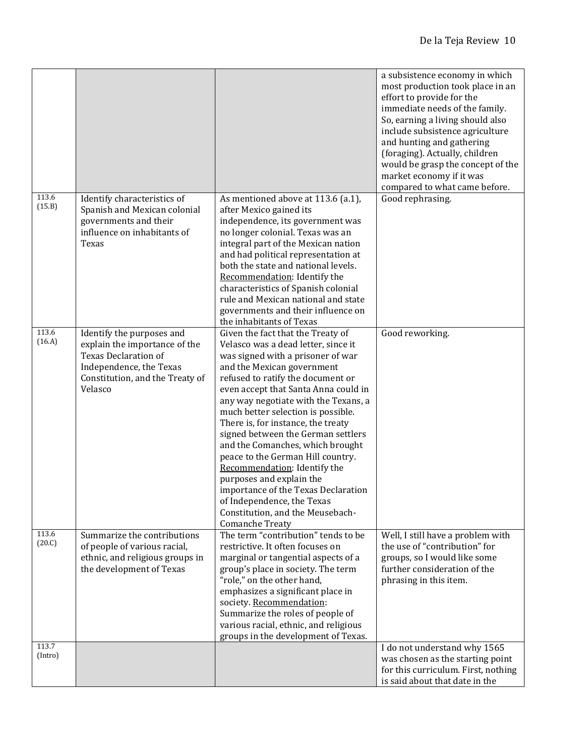|                  |                                                                                                                                                                    |                                                                                                                                                                                                                                                                                                                                                                                                                                                                                                                                                                                                                                                     | a subsistence economy in which<br>most production took place in an<br>effort to provide for the<br>immediate needs of the family.<br>So, earning a living should also<br>include subsistence agriculture<br>and hunting and gathering<br>(foraging). Actually, children<br>would be grasp the concept of the<br>market economy if it was<br>compared to what came before. |
|------------------|--------------------------------------------------------------------------------------------------------------------------------------------------------------------|-----------------------------------------------------------------------------------------------------------------------------------------------------------------------------------------------------------------------------------------------------------------------------------------------------------------------------------------------------------------------------------------------------------------------------------------------------------------------------------------------------------------------------------------------------------------------------------------------------------------------------------------------------|---------------------------------------------------------------------------------------------------------------------------------------------------------------------------------------------------------------------------------------------------------------------------------------------------------------------------------------------------------------------------|
| 113.6<br>(15.B)  | Identify characteristics of<br>Spanish and Mexican colonial<br>governments and their<br>influence on inhabitants of<br>Texas                                       | As mentioned above at 113.6 (a.1),<br>after Mexico gained its<br>independence, its government was<br>no longer colonial. Texas was an<br>integral part of the Mexican nation<br>and had political representation at<br>both the state and national levels.<br>Recommendation: Identify the<br>characteristics of Spanish colonial<br>rule and Mexican national and state<br>governments and their influence on<br>the inhabitants of Texas                                                                                                                                                                                                          | Good rephrasing.                                                                                                                                                                                                                                                                                                                                                          |
| 113.6<br>(16.A)  | Identify the purposes and<br>explain the importance of the<br><b>Texas Declaration of</b><br>Independence, the Texas<br>Constitution, and the Treaty of<br>Velasco | Given the fact that the Treaty of<br>Velasco was a dead letter, since it<br>was signed with a prisoner of war<br>and the Mexican government<br>refused to ratify the document or<br>even accept that Santa Anna could in<br>any way negotiate with the Texans, a<br>much better selection is possible.<br>There is, for instance, the treaty<br>signed between the German settlers<br>and the Comanches, which brought<br>peace to the German Hill country.<br>Recommendation: Identify the<br>purposes and explain the<br>importance of the Texas Declaration<br>of Independence, the Texas<br>Constitution, and the Meusebach-<br>Comanche Treaty | Good reworking.                                                                                                                                                                                                                                                                                                                                                           |
| 113.6<br>(20.C)  | Summarize the contributions<br>of people of various racial,<br>ethnic, and religious groups in<br>the development of Texas                                         | The term "contribution" tends to be<br>restrictive. It often focuses on<br>marginal or tangential aspects of a<br>group's place in society. The term<br>"role," on the other hand,<br>emphasizes a significant place in<br>society. Recommendation:<br>Summarize the roles of people of<br>various racial, ethnic, and religious<br>groups in the development of Texas.                                                                                                                                                                                                                                                                             | Well, I still have a problem with<br>the use of "contribution" for<br>groups, so I would like some<br>further consideration of the<br>phrasing in this item.                                                                                                                                                                                                              |
| 113.7<br>(Intro) |                                                                                                                                                                    |                                                                                                                                                                                                                                                                                                                                                                                                                                                                                                                                                                                                                                                     | I do not understand why 1565<br>was chosen as the starting point<br>for this curriculum. First, nothing<br>is said about that date in the                                                                                                                                                                                                                                 |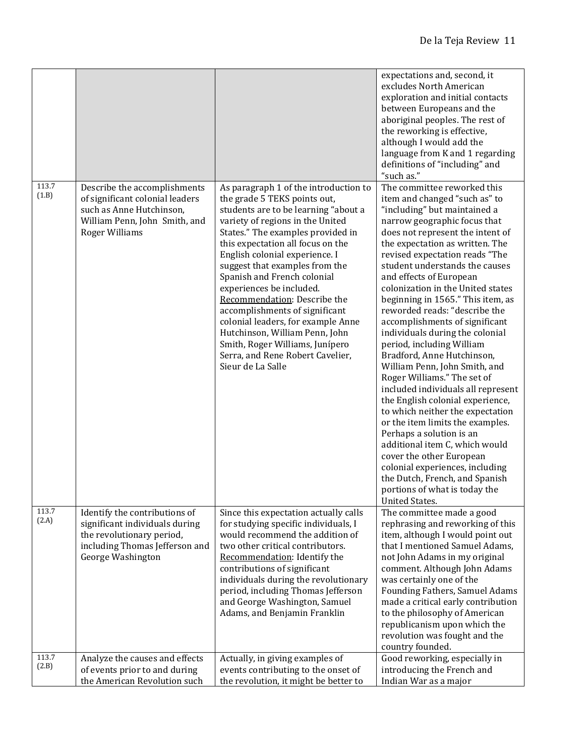|                |                                                                                                                                                       |                                                                                                                                                                                                                                                                                                                                                                                                                                                                                                                                                                                                  | expectations and, second, it<br>excludes North American<br>exploration and initial contacts<br>between Europeans and the<br>aboriginal peoples. The rest of<br>the reworking is effective,<br>although I would add the<br>language from K and 1 regarding<br>definitions of "including" and<br>"such as."                                                                                                                                                                                                                                                                                                                                                                                                                                                                                                                                                                                                                                                                                |
|----------------|-------------------------------------------------------------------------------------------------------------------------------------------------------|--------------------------------------------------------------------------------------------------------------------------------------------------------------------------------------------------------------------------------------------------------------------------------------------------------------------------------------------------------------------------------------------------------------------------------------------------------------------------------------------------------------------------------------------------------------------------------------------------|------------------------------------------------------------------------------------------------------------------------------------------------------------------------------------------------------------------------------------------------------------------------------------------------------------------------------------------------------------------------------------------------------------------------------------------------------------------------------------------------------------------------------------------------------------------------------------------------------------------------------------------------------------------------------------------------------------------------------------------------------------------------------------------------------------------------------------------------------------------------------------------------------------------------------------------------------------------------------------------|
| 113.7<br>(1.B) | Describe the accomplishments<br>of significant colonial leaders<br>such as Anne Hutchinson,<br>William Penn, John Smith, and<br><b>Roger Williams</b> | As paragraph 1 of the introduction to<br>the grade 5 TEKS points out,<br>students are to be learning "about a<br>variety of regions in the United<br>States." The examples provided in<br>this expectation all focus on the<br>English colonial experience. I<br>suggest that examples from the<br>Spanish and French colonial<br>experiences be included.<br>Recommendation: Describe the<br>accomplishments of significant<br>colonial leaders, for example Anne<br>Hutchinson, William Penn, John<br>Smith, Roger Williams, Junípero<br>Serra, and Rene Robert Cavelier,<br>Sieur de La Salle | The committee reworked this<br>item and changed "such as" to<br>"including" but maintained a<br>narrow geographic focus that<br>does not represent the intent of<br>the expectation as written. The<br>revised expectation reads "The<br>student understands the causes<br>and effects of European<br>colonization in the United states<br>beginning in 1565." This item, as<br>reworded reads: "describe the<br>accomplishments of significant<br>individuals during the colonial<br>period, including William<br>Bradford, Anne Hutchinson,<br>William Penn, John Smith, and<br>Roger Williams." The set of<br>included individuals all represent<br>the English colonial experience,<br>to which neither the expectation<br>or the item limits the examples.<br>Perhaps a solution is an<br>additional item C, which would<br>cover the other European<br>colonial experiences, including<br>the Dutch, French, and Spanish<br>portions of what is today the<br><b>United States.</b> |
| 113.7<br>(2.A) | Identify the contributions of<br>significant individuals during<br>the revolutionary period,<br>including Thomas Jefferson and<br>George Washington   | Since this expectation actually calls<br>for studying specific individuals, I<br>would recommend the addition of<br>two other critical contributors.<br>Recommendation: Identify the<br>contributions of significant<br>individuals during the revolutionary<br>period, including Thomas Jefferson<br>and George Washington, Samuel<br>Adams, and Benjamin Franklin                                                                                                                                                                                                                              | The committee made a good<br>rephrasing and reworking of this<br>item, although I would point out<br>that I mentioned Samuel Adams,<br>not John Adams in my original<br>comment. Although John Adams<br>was certainly one of the<br>Founding Fathers, Samuel Adams<br>made a critical early contribution<br>to the philosophy of American<br>republicanism upon which the<br>revolution was fought and the<br>country founded.                                                                                                                                                                                                                                                                                                                                                                                                                                                                                                                                                           |
| 113.7<br>(2.B) | Analyze the causes and effects<br>of events prior to and during<br>the American Revolution such                                                       | Actually, in giving examples of<br>events contributing to the onset of<br>the revolution, it might be better to                                                                                                                                                                                                                                                                                                                                                                                                                                                                                  | Good reworking, especially in<br>introducing the French and<br>Indian War as a major                                                                                                                                                                                                                                                                                                                                                                                                                                                                                                                                                                                                                                                                                                                                                                                                                                                                                                     |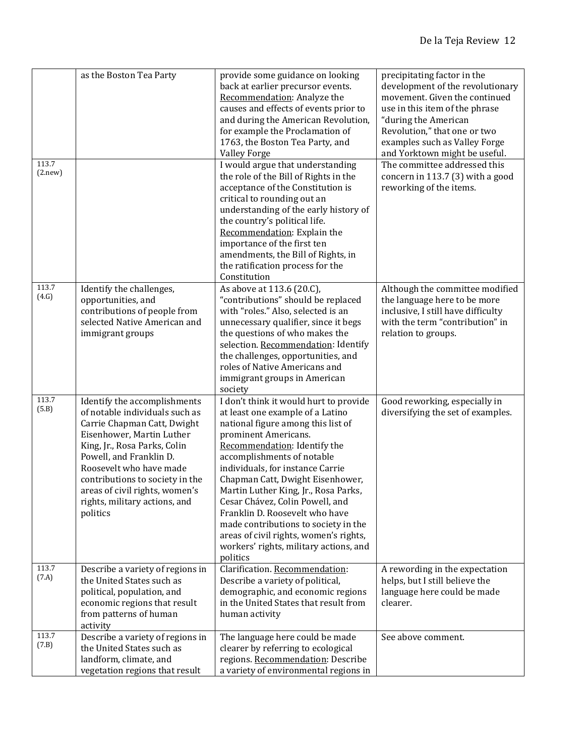|                  | as the Boston Tea Party                                                                                                                                                                                                                                                                                                            | provide some guidance on looking<br>back at earlier precursor events.<br>Recommendation: Analyze the<br>causes and effects of events prior to<br>and during the American Revolution,<br>for example the Proclamation of<br>1763, the Boston Tea Party, and<br><b>Valley Forge</b>                                                                                                                                                                                                                                                   | precipitating factor in the<br>development of the revolutionary<br>movement. Given the continued<br>use in this item of the phrase<br>"during the American<br>Revolution," that one or two<br>examples such as Valley Forge<br>and Yorktown might be useful. |
|------------------|------------------------------------------------------------------------------------------------------------------------------------------------------------------------------------------------------------------------------------------------------------------------------------------------------------------------------------|-------------------------------------------------------------------------------------------------------------------------------------------------------------------------------------------------------------------------------------------------------------------------------------------------------------------------------------------------------------------------------------------------------------------------------------------------------------------------------------------------------------------------------------|--------------------------------------------------------------------------------------------------------------------------------------------------------------------------------------------------------------------------------------------------------------|
| 113.7<br>(2.new) |                                                                                                                                                                                                                                                                                                                                    | I would argue that understanding<br>the role of the Bill of Rights in the<br>acceptance of the Constitution is<br>critical to rounding out an<br>understanding of the early history of<br>the country's political life.<br>Recommendation: Explain the<br>importance of the first ten<br>amendments, the Bill of Rights, in<br>the ratification process for the<br>Constitution                                                                                                                                                     | The committee addressed this<br>concern in 113.7 (3) with a good<br>reworking of the items.                                                                                                                                                                  |
| 113.7<br>(4.G)   | Identify the challenges,<br>opportunities, and<br>contributions of people from<br>selected Native American and<br>immigrant groups                                                                                                                                                                                                 | As above at 113.6 (20.C),<br>"contributions" should be replaced<br>with "roles." Also, selected is an<br>unnecessary qualifier, since it begs<br>the questions of who makes the<br>selection. Recommendation: Identify<br>the challenges, opportunities, and<br>roles of Native Americans and<br>immigrant groups in American<br>society                                                                                                                                                                                            | Although the committee modified<br>the language here to be more<br>inclusive, I still have difficulty<br>with the term "contribution" in<br>relation to groups.                                                                                              |
| 113.7<br>(5.B)   | Identify the accomplishments<br>of notable individuals such as<br>Carrie Chapman Catt, Dwight<br>Eisenhower, Martin Luther<br>King, Jr., Rosa Parks, Colin<br>Powell, and Franklin D.<br>Roosevelt who have made<br>contributions to society in the<br>areas of civil rights, women's<br>rights, military actions, and<br>politics | I don't think it would hurt to provide<br>at least one example of a Latino<br>national figure among this list of<br>prominent Americans.<br>Recommendation: Identify the<br>accomplishments of notable<br>individuals, for instance Carrie<br>Chapman Catt, Dwight Eisenhower,<br>Martin Luther King, Jr., Rosa Parks,<br>Cesar Chávez, Colin Powell, and<br>Franklin D. Roosevelt who have<br>made contributions to society in the<br>areas of civil rights, women's rights,<br>workers' rights, military actions, and<br>politics | Good reworking, especially in<br>diversifying the set of examples.                                                                                                                                                                                           |
| 113.7<br>(7.A)   | Describe a variety of regions in<br>the United States such as<br>political, population, and<br>economic regions that result<br>from patterns of human<br>activity                                                                                                                                                                  | Clarification. Recommendation:<br>Describe a variety of political,<br>demographic, and economic regions<br>in the United States that result from<br>human activity                                                                                                                                                                                                                                                                                                                                                                  | A rewording in the expectation<br>helps, but I still believe the<br>language here could be made<br>clearer.                                                                                                                                                  |
| 113.7<br>(7.B)   | Describe a variety of regions in<br>the United States such as<br>landform, climate, and<br>vegetation regions that result                                                                                                                                                                                                          | The language here could be made<br>clearer by referring to ecological<br>regions. Recommendation: Describe<br>a variety of environmental regions in                                                                                                                                                                                                                                                                                                                                                                                 | See above comment.                                                                                                                                                                                                                                           |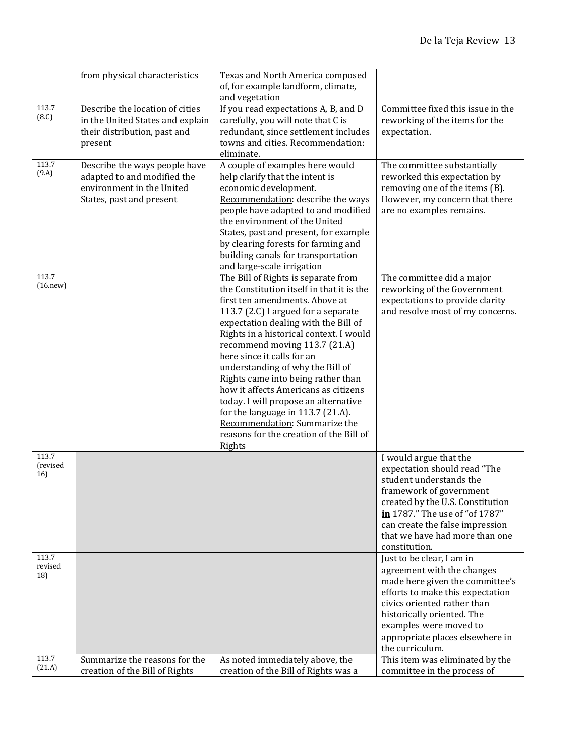|                          | from physical characteristics                                                                                         | Texas and North America composed<br>of, for example landform, climate,<br>and vegetation                                                                                                                                                                                                                                                                                                                                                                                                                                                                                                         |                                                                                                                                                                                                                                                                             |
|--------------------------|-----------------------------------------------------------------------------------------------------------------------|--------------------------------------------------------------------------------------------------------------------------------------------------------------------------------------------------------------------------------------------------------------------------------------------------------------------------------------------------------------------------------------------------------------------------------------------------------------------------------------------------------------------------------------------------------------------------------------------------|-----------------------------------------------------------------------------------------------------------------------------------------------------------------------------------------------------------------------------------------------------------------------------|
| 113.7<br>(8.C)           | Describe the location of cities<br>in the United States and explain<br>their distribution, past and<br>present        | If you read expectations A, B, and D<br>carefully, you will note that C is<br>redundant, since settlement includes<br>towns and cities. Recommendation:<br>eliminate.                                                                                                                                                                                                                                                                                                                                                                                                                            | Committee fixed this issue in the<br>reworking of the items for the<br>expectation.                                                                                                                                                                                         |
| 113.7<br>(9.A)           | Describe the ways people have<br>adapted to and modified the<br>environment in the United<br>States, past and present | A couple of examples here would<br>help clarify that the intent is<br>economic development.<br>Recommendation: describe the ways<br>people have adapted to and modified<br>the environment of the United<br>States, past and present, for example<br>by clearing forests for farming and<br>building canals for transportation<br>and large-scale irrigation                                                                                                                                                                                                                                     | The committee substantially<br>reworked this expectation by<br>removing one of the items (B).<br>However, my concern that there<br>are no examples remains.                                                                                                                 |
| 113.7<br>(16. new)       |                                                                                                                       | The Bill of Rights is separate from<br>the Constitution itself in that it is the<br>first ten amendments. Above at<br>113.7 (2.C) I argued for a separate<br>expectation dealing with the Bill of<br>Rights in a historical context. I would<br>recommend moving 113.7 (21.A)<br>here since it calls for an<br>understanding of why the Bill of<br>Rights came into being rather than<br>how it affects Americans as citizens<br>today. I will propose an alternative<br>for the language in 113.7 (21.A).<br>Recommendation: Summarize the<br>reasons for the creation of the Bill of<br>Rights | The committee did a major<br>reworking of the Government<br>expectations to provide clarity<br>and resolve most of my concerns.                                                                                                                                             |
| 113.7<br>(revised<br>16) |                                                                                                                       |                                                                                                                                                                                                                                                                                                                                                                                                                                                                                                                                                                                                  | I would argue that the<br>expectation should read "The<br>student understands the<br>framework of government<br>created by the U.S. Constitution<br>in 1787." The use of "of 1787"<br>can create the false impression<br>that we have had more than one<br>constitution.    |
| 113.7<br>revised<br>18)  |                                                                                                                       |                                                                                                                                                                                                                                                                                                                                                                                                                                                                                                                                                                                                  | Just to be clear, I am in<br>agreement with the changes<br>made here given the committee's<br>efforts to make this expectation<br>civics oriented rather than<br>historically oriented. The<br>examples were moved to<br>appropriate places elsewhere in<br>the curriculum. |
| 113.7<br>(21.A)          | Summarize the reasons for the<br>creation of the Bill of Rights                                                       | As noted immediately above, the<br>creation of the Bill of Rights was a                                                                                                                                                                                                                                                                                                                                                                                                                                                                                                                          | This item was eliminated by the<br>committee in the process of                                                                                                                                                                                                              |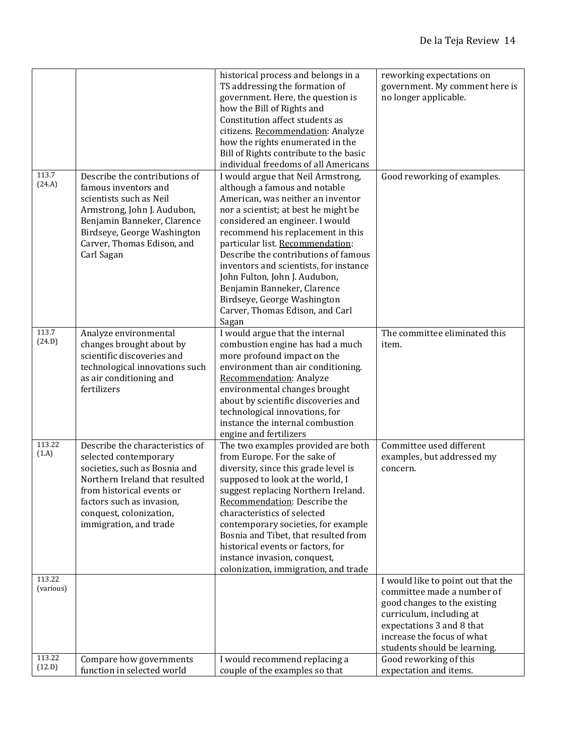|                               |                                                                                                                                                                                                                                            | historical process and belongs in a<br>TS addressing the formation of<br>government. Here, the question is<br>how the Bill of Rights and<br>Constitution affect students as<br>citizens. Recommendation: Analyze<br>how the rights enumerated in the<br>Bill of Rights contribute to the basic<br>individual freedoms of all Americans                                                                                                                                                    | reworking expectations on<br>government. My comment here is<br>no longer applicable.                                                                                                                                                              |
|-------------------------------|--------------------------------------------------------------------------------------------------------------------------------------------------------------------------------------------------------------------------------------------|-------------------------------------------------------------------------------------------------------------------------------------------------------------------------------------------------------------------------------------------------------------------------------------------------------------------------------------------------------------------------------------------------------------------------------------------------------------------------------------------|---------------------------------------------------------------------------------------------------------------------------------------------------------------------------------------------------------------------------------------------------|
| 113.7<br>(24.A)               | Describe the contributions of<br>famous inventors and<br>scientists such as Neil<br>Armstrong, John J. Audubon,<br>Benjamin Banneker, Clarence<br>Birdseye, George Washington<br>Carver, Thomas Edison, and<br>Carl Sagan                  | I would argue that Neil Armstrong,<br>although a famous and notable<br>American, was neither an inventor<br>nor a scientist; at best he might be<br>considered an engineer. I would<br>recommend his replacement in this<br>particular list. Recommendation:<br>Describe the contributions of famous<br>inventors and scientists, for instance<br>John Fulton, John J. Audubon,<br>Benjamin Banneker, Clarence<br>Birdseye, George Washington<br>Carver, Thomas Edison, and Carl<br>Sagan | Good reworking of examples.                                                                                                                                                                                                                       |
| 113.7<br>(24.D)               | Analyze environmental<br>changes brought about by<br>scientific discoveries and<br>technological innovations such<br>as air conditioning and<br>fertilizers                                                                                | I would argue that the internal<br>combustion engine has had a much<br>more profound impact on the<br>environment than air conditioning.<br>Recommendation: Analyze<br>environmental changes brought<br>about by scientific discoveries and<br>technological innovations, for<br>instance the internal combustion<br>engine and fertilizers                                                                                                                                               | The committee eliminated this<br>item.                                                                                                                                                                                                            |
| 113.22<br>(1.A)               | Describe the characteristics of<br>selected contemporary<br>societies, such as Bosnia and<br>Northern Ireland that resulted<br>from historical events or<br>factors such as invasion,<br>conquest, colonization,<br>immigration, and trade | The two examples provided are both<br>from Europe. For the sake of<br>diversity, since this grade level is<br>supposed to look at the world, I<br>suggest replacing Northern Ireland.<br>Recommendation: Describe the<br>characteristics of selected<br>contemporary societies, for example<br>Bosnia and Tibet, that resulted from<br>historical events or factors, for<br>instance invasion, conquest,<br>colonization, immigration, and trade                                          | Committee used different<br>examples, but addressed my<br>concern.                                                                                                                                                                                |
| 113.22<br>(various)<br>113.22 | Compare how governments                                                                                                                                                                                                                    | I would recommend replacing a                                                                                                                                                                                                                                                                                                                                                                                                                                                             | I would like to point out that the<br>committee made a number of<br>good changes to the existing<br>curriculum, including at<br>expectations 3 and 8 that<br>increase the focus of what<br>students should be learning.<br>Good reworking of this |
| (12.D)                        | function in selected world                                                                                                                                                                                                                 | couple of the examples so that                                                                                                                                                                                                                                                                                                                                                                                                                                                            | expectation and items.                                                                                                                                                                                                                            |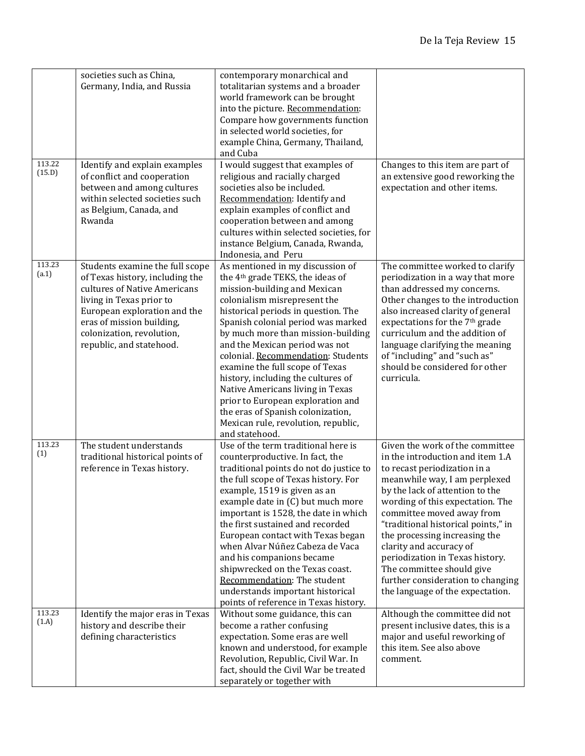|                  | societies such as China,<br>Germany, India, and Russia                                                                                                                                                                                               | contemporary monarchical and<br>totalitarian systems and a broader<br>world framework can be brought<br>into the picture. Recommendation:<br>Compare how governments function<br>in selected world societies, for<br>example China, Germany, Thailand,<br>and Cuba                                                                                                                                                                                                                                                                                                                          |                                                                                                                                                                                                                                                                                                                                                                                                                                                                                      |
|------------------|------------------------------------------------------------------------------------------------------------------------------------------------------------------------------------------------------------------------------------------------------|---------------------------------------------------------------------------------------------------------------------------------------------------------------------------------------------------------------------------------------------------------------------------------------------------------------------------------------------------------------------------------------------------------------------------------------------------------------------------------------------------------------------------------------------------------------------------------------------|--------------------------------------------------------------------------------------------------------------------------------------------------------------------------------------------------------------------------------------------------------------------------------------------------------------------------------------------------------------------------------------------------------------------------------------------------------------------------------------|
| 113.22<br>(15.D) | Identify and explain examples<br>of conflict and cooperation<br>between and among cultures<br>within selected societies such<br>as Belgium, Canada, and<br>Rwanda                                                                                    | I would suggest that examples of<br>religious and racially charged<br>societies also be included.<br>Recommendation: Identify and<br>explain examples of conflict and<br>cooperation between and among<br>cultures within selected societies, for<br>instance Belgium, Canada, Rwanda,<br>Indonesia, and Peru                                                                                                                                                                                                                                                                               | Changes to this item are part of<br>an extensive good reworking the<br>expectation and other items.                                                                                                                                                                                                                                                                                                                                                                                  |
| 113.23<br>(a.1)  | Students examine the full scope<br>of Texas history, including the<br>cultures of Native Americans<br>living in Texas prior to<br>European exploration and the<br>eras of mission building,<br>colonization, revolution,<br>republic, and statehood. | As mentioned in my discussion of<br>the 4 <sup>th</sup> grade TEKS, the ideas of<br>mission-building and Mexican<br>colonialism misrepresent the<br>historical periods in question. The<br>Spanish colonial period was marked<br>by much more than mission-building<br>and the Mexican period was not<br>colonial. Recommendation: Students<br>examine the full scope of Texas<br>history, including the cultures of<br>Native Americans living in Texas<br>prior to European exploration and<br>the eras of Spanish colonization,<br>Mexican rule, revolution, republic,<br>and statehood. | The committee worked to clarify<br>periodization in a way that more<br>than addressed my concerns.<br>Other changes to the introduction<br>also increased clarity of general<br>expectations for the 7 <sup>th</sup> grade<br>curriculum and the addition of<br>language clarifying the meaning<br>of "including" and "such as"<br>should be considered for other<br>curricula.                                                                                                      |
| 113.23<br>(1)    | The student understands<br>traditional historical points of<br>reference in Texas history.                                                                                                                                                           | Use of the term traditional here is<br>counterproductive. In fact, the<br>traditional points do not do justice to<br>the full scope of Texas history. For<br>example, 1519 is given as an<br>example date in (C) but much more<br>important is 1528, the date in which<br>the first sustained and recorded<br>European contact with Texas began<br>when Alvar Núñez Cabeza de Vaca<br>and his companions became<br>shipwrecked on the Texas coast.<br>Recommendation: The student<br>understands important historical<br>points of reference in Texas history.                              | Given the work of the committee<br>in the introduction and item 1.A<br>to recast periodization in a<br>meanwhile way, I am perplexed<br>by the lack of attention to the<br>wording of this expectation. The<br>committee moved away from<br>"traditional historical points," in<br>the processing increasing the<br>clarity and accuracy of<br>periodization in Texas history.<br>The committee should give<br>further consideration to changing<br>the language of the expectation. |
| 113.23<br>(1.A)  | Identify the major eras in Texas<br>history and describe their<br>defining characteristics                                                                                                                                                           | Without some guidance, this can<br>become a rather confusing<br>expectation. Some eras are well<br>known and understood, for example<br>Revolution, Republic, Civil War. In<br>fact, should the Civil War be treated<br>separately or together with                                                                                                                                                                                                                                                                                                                                         | Although the committee did not<br>present inclusive dates, this is a<br>major and useful reworking of<br>this item. See also above<br>comment.                                                                                                                                                                                                                                                                                                                                       |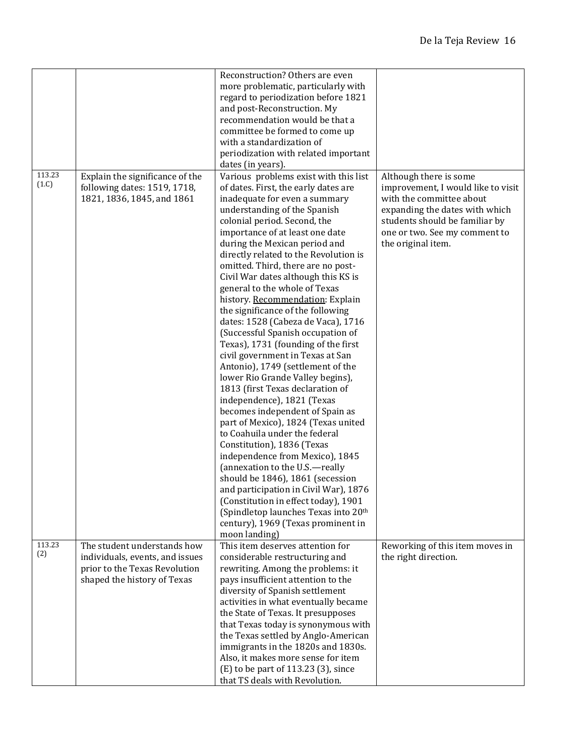|        |                                 | Reconstruction? Others are even       |                                    |
|--------|---------------------------------|---------------------------------------|------------------------------------|
|        |                                 |                                       |                                    |
|        |                                 | more problematic, particularly with   |                                    |
|        |                                 | regard to periodization before 1821   |                                    |
|        |                                 | and post-Reconstruction. My           |                                    |
|        |                                 | recommendation would be that a        |                                    |
|        |                                 | committee be formed to come up        |                                    |
|        |                                 | with a standardization of             |                                    |
|        |                                 | periodization with related important  |                                    |
|        |                                 | dates (in years).                     |                                    |
| 113.23 | Explain the significance of the | Various problems exist with this list | Although there is some             |
| (1.C)  | following dates: 1519, 1718,    | of dates. First, the early dates are  | improvement, I would like to visit |
|        | 1821, 1836, 1845, and 1861      | inadequate for even a summary         | with the committee about           |
|        |                                 | understanding of the Spanish          | expanding the dates with which     |
|        |                                 | colonial period. Second, the          | students should be familiar by     |
|        |                                 | importance of at least one date       | one or two. See my comment to      |
|        |                                 | during the Mexican period and         | the original item.                 |
|        |                                 | directly related to the Revolution is |                                    |
|        |                                 | omitted. Third, there are no post-    |                                    |
|        |                                 | Civil War dates although this KS is   |                                    |
|        |                                 | general to the whole of Texas         |                                    |
|        |                                 | history. Recommendation: Explain      |                                    |
|        |                                 |                                       |                                    |
|        |                                 | the significance of the following     |                                    |
|        |                                 | dates: 1528 (Cabeza de Vaca), 1716    |                                    |
|        |                                 | (Successful Spanish occupation of     |                                    |
|        |                                 | Texas), 1731 (founding of the first   |                                    |
|        |                                 | civil government in Texas at San      |                                    |
|        |                                 | Antonio), 1749 (settlement of the     |                                    |
|        |                                 | lower Rio Grande Valley begins),      |                                    |
|        |                                 | 1813 (first Texas declaration of      |                                    |
|        |                                 | independence), 1821 (Texas            |                                    |
|        |                                 | becomes independent of Spain as       |                                    |
|        |                                 | part of Mexico), 1824 (Texas united   |                                    |
|        |                                 | to Coahuila under the federal         |                                    |
|        |                                 | Constitution), 1836 (Texas            |                                    |
|        |                                 | independence from Mexico), 1845       |                                    |
|        |                                 | (annexation to the U.S.-really        |                                    |
|        |                                 | should be 1846), 1861 (secession      |                                    |
|        |                                 | and participation in Civil War), 1876 |                                    |
|        |                                 | (Constitution in effect today), 1901  |                                    |
|        |                                 | (Spindletop launches Texas into 20th  |                                    |
|        |                                 | century), 1969 (Texas prominent in    |                                    |
|        |                                 | moon landing)                         |                                    |
| 113.23 | The student understands how     | This item deserves attention for      | Reworking of this item moves in    |
| (2)    | individuals, events, and issues | considerable restructuring and        | the right direction.               |
|        | prior to the Texas Revolution   | rewriting. Among the problems: it     |                                    |
|        | shaped the history of Texas     | pays insufficient attention to the    |                                    |
|        |                                 | diversity of Spanish settlement       |                                    |
|        |                                 | activities in what eventually became  |                                    |
|        |                                 | the State of Texas. It presupposes    |                                    |
|        |                                 | that Texas today is synonymous with   |                                    |
|        |                                 |                                       |                                    |
|        |                                 | the Texas settled by Anglo-American   |                                    |
|        |                                 | immigrants in the 1820s and 1830s.    |                                    |
|        |                                 | Also, it makes more sense for item    |                                    |
|        |                                 | (E) to be part of 113.23 (3), since   |                                    |
|        |                                 | that TS deals with Revolution.        |                                    |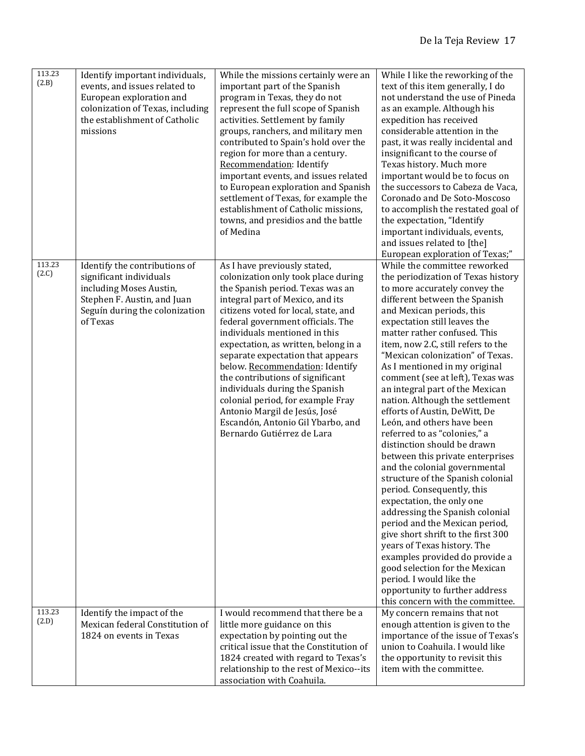| 113.23<br>Identify important individuals,<br>While the missions certainly were an<br>While I like the reworking of the<br>(2.B)<br>events, and issues related to<br>text of this item generally, I do<br>important part of the Spanish<br>not understand the use of Pineda<br>European exploration and<br>program in Texas, they do not<br>colonization of Texas, including<br>represent the full scope of Spanish<br>as an example. Although his<br>the establishment of Catholic<br>activities. Settlement by family<br>expedition has received<br>missions<br>groups, ranchers, and military men<br>considerable attention in the<br>contributed to Spain's hold over the<br>past, it was really incidental and<br>region for more than a century.<br>insignificant to the course of<br>Recommendation: Identify<br>Texas history. Much more<br>important events, and issues related<br>important would be to focus on<br>to European exploration and Spanish<br>the successors to Cabeza de Vaca,<br>settlement of Texas, for example the<br>Coronado and De Soto-Moscoso<br>establishment of Catholic missions,<br>to accomplish the restated goal of<br>towns, and presidios and the battle<br>the expectation, "Identify<br>of Medina<br>important individuals, events,<br>and issues related to [the]<br>European exploration of Texas;"                                                                                                                                                                                                                                                                                                                                                                                                                                                                                                             |  |
|--------------------------------------------------------------------------------------------------------------------------------------------------------------------------------------------------------------------------------------------------------------------------------------------------------------------------------------------------------------------------------------------------------------------------------------------------------------------------------------------------------------------------------------------------------------------------------------------------------------------------------------------------------------------------------------------------------------------------------------------------------------------------------------------------------------------------------------------------------------------------------------------------------------------------------------------------------------------------------------------------------------------------------------------------------------------------------------------------------------------------------------------------------------------------------------------------------------------------------------------------------------------------------------------------------------------------------------------------------------------------------------------------------------------------------------------------------------------------------------------------------------------------------------------------------------------------------------------------------------------------------------------------------------------------------------------------------------------------------------------------------------------------------------------------------------------------------------------------------------|--|
| 113.23<br>Identify the contributions of<br>As I have previously stated,<br>While the committee reworked<br>(2.C)<br>significant individuals<br>colonization only took place during<br>the periodization of Texas history<br>including Moses Austin,<br>the Spanish period. Texas was an<br>to more accurately convey the<br>Stephen F. Austin, and Juan<br>integral part of Mexico, and its<br>different between the Spanish<br>Seguín during the colonization<br>citizens voted for local, state, and<br>and Mexican periods, this<br>of Texas<br>federal government officials. The<br>expectation still leaves the<br>individuals mentioned in this<br>matter rather confused. This<br>expectation, as written, belong in a<br>item, now 2.C, still refers to the<br>separate expectation that appears<br>"Mexican colonization" of Texas.<br>below. Recommendation: Identify<br>As I mentioned in my original<br>the contributions of significant<br>comment (see at left), Texas was<br>individuals during the Spanish<br>an integral part of the Mexican<br>colonial period, for example Fray<br>nation. Although the settlement<br>Antonio Margil de Jesús, José<br>efforts of Austin, DeWitt, De<br>Escandón, Antonio Gil Ybarbo, and<br>León, and others have been<br>Bernardo Gutiérrez de Lara<br>referred to as "colonies," a<br>distinction should be drawn<br>between this private enterprises<br>and the colonial governmental<br>structure of the Spanish colonial<br>period. Consequently, this<br>expectation, the only one<br>addressing the Spanish colonial<br>period and the Mexican period,<br>give short shrift to the first 300<br>years of Texas history. The<br>examples provided do provide a<br>good selection for the Mexican<br>period. I would like the<br>opportunity to further address<br>this concern with the committee. |  |
| 113.23<br>I would recommend that there be a<br>Identify the impact of the<br>My concern remains that not<br>(2.D)<br>Mexican federal Constitution of<br>little more guidance on this<br>enough attention is given to the<br>1824 on events in Texas<br>expectation by pointing out the<br>importance of the issue of Texas's                                                                                                                                                                                                                                                                                                                                                                                                                                                                                                                                                                                                                                                                                                                                                                                                                                                                                                                                                                                                                                                                                                                                                                                                                                                                                                                                                                                                                                                                                                                                 |  |
| critical issue that the Constitution of<br>union to Coahuila. I would like<br>1824 created with regard to Texas's<br>the opportunity to revisit this<br>item with the committee.<br>relationship to the rest of Mexico--its<br>association with Coahuila.                                                                                                                                                                                                                                                                                                                                                                                                                                                                                                                                                                                                                                                                                                                                                                                                                                                                                                                                                                                                                                                                                                                                                                                                                                                                                                                                                                                                                                                                                                                                                                                                    |  |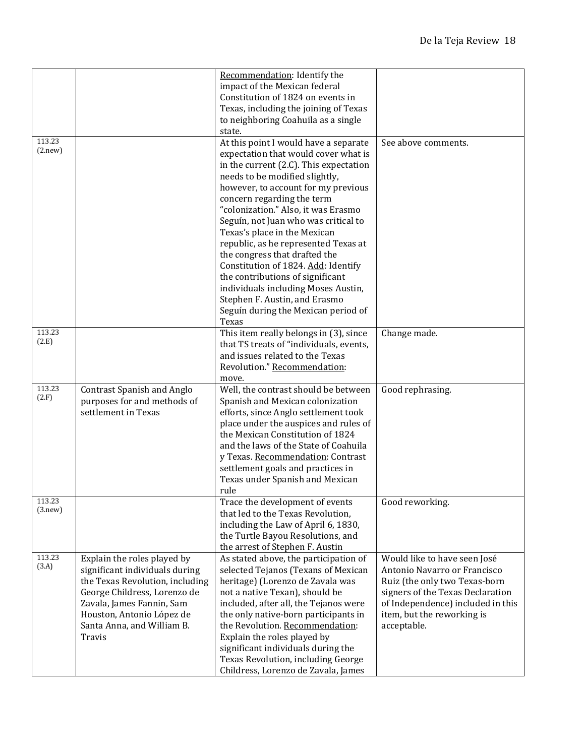|         |                                 | Recommendation: Identify the            |                                   |
|---------|---------------------------------|-----------------------------------------|-----------------------------------|
|         |                                 | impact of the Mexican federal           |                                   |
|         |                                 | Constitution of 1824 on events in       |                                   |
|         |                                 | Texas, including the joining of Texas   |                                   |
|         |                                 | to neighboring Coahuila as a single     |                                   |
|         |                                 | state.                                  |                                   |
| 113.23  |                                 | At this point I would have a separate   | See above comments.               |
| (2.new) |                                 | expectation that would cover what is    |                                   |
|         |                                 | in the current (2.C). This expectation  |                                   |
|         |                                 | needs to be modified slightly,          |                                   |
|         |                                 | however, to account for my previous     |                                   |
|         |                                 | concern regarding the term              |                                   |
|         |                                 | "colonization." Also, it was Erasmo     |                                   |
|         |                                 | Seguín, not Juan who was critical to    |                                   |
|         |                                 | Texas's place in the Mexican            |                                   |
|         |                                 | republic, as he represented Texas at    |                                   |
|         |                                 | the congress that drafted the           |                                   |
|         |                                 | Constitution of 1824. Add: Identify     |                                   |
|         |                                 | the contributions of significant        |                                   |
|         |                                 | individuals including Moses Austin,     |                                   |
|         |                                 | Stephen F. Austin, and Erasmo           |                                   |
|         |                                 | Seguín during the Mexican period of     |                                   |
|         |                                 | Texas                                   |                                   |
| 113.23  |                                 | This item really belongs in (3), since  | Change made.                      |
| (2.E)   |                                 | that TS treats of "individuals, events, |                                   |
|         |                                 | and issues related to the Texas         |                                   |
|         |                                 | Revolution." Recommendation:            |                                   |
|         |                                 | move.                                   |                                   |
| 113.23  | Contrast Spanish and Anglo      | Well, the contrast should be between    | Good rephrasing.                  |
| (2.F)   | purposes for and methods of     | Spanish and Mexican colonization        |                                   |
|         | settlement in Texas             | efforts, since Anglo settlement took    |                                   |
|         |                                 | place under the auspices and rules of   |                                   |
|         |                                 | the Mexican Constitution of 1824        |                                   |
|         |                                 | and the laws of the State of Coahuila   |                                   |
|         |                                 | y Texas. Recommendation: Contrast       |                                   |
|         |                                 | settlement goals and practices in       |                                   |
|         |                                 | Texas under Spanish and Mexican         |                                   |
|         |                                 | rule                                    |                                   |
| 113.23  |                                 | Trace the development of events         | Good reworking.                   |
| (3.new) |                                 | that led to the Texas Revolution,       |                                   |
|         |                                 | including the Law of April 6, 1830,     |                                   |
|         |                                 | the Turtle Bayou Resolutions, and       |                                   |
|         |                                 | the arrest of Stephen F. Austin         |                                   |
| 113.23  | Explain the roles played by     | As stated above, the participation of   | Would like to have seen José      |
| (3.A)   | significant individuals during  | selected Tejanos (Texans of Mexican     | Antonio Navarro or Francisco      |
|         | the Texas Revolution, including | heritage) (Lorenzo de Zavala was        | Ruiz (the only two Texas-born     |
|         | George Childress, Lorenzo de    | not a native Texan), should be          | signers of the Texas Declaration  |
|         | Zavala, James Fannin, Sam       | included, after all, the Tejanos were   | of Independence) included in this |
|         | Houston, Antonio López de       | the only native-born participants in    | item, but the reworking is        |
|         | Santa Anna, and William B.      | the Revolution. Recommendation:         | acceptable.                       |
|         | Travis                          | Explain the roles played by             |                                   |
|         |                                 | significant individuals during the      |                                   |
|         |                                 | Texas Revolution, including George      |                                   |
|         |                                 | Childress, Lorenzo de Zavala, James     |                                   |
|         |                                 |                                         |                                   |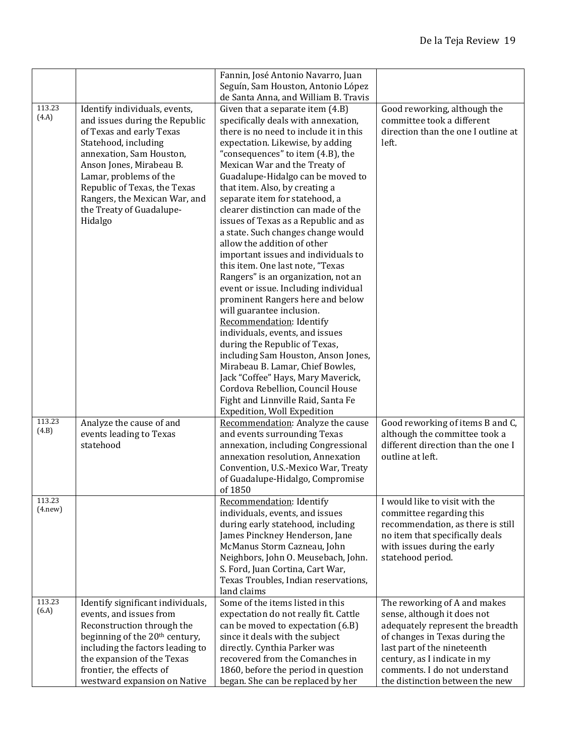|                    |                                                                                                                                                                                                                                                                                                               | Fannin, José Antonio Navarro, Juan<br>Seguín, Sam Houston, Antonio López<br>de Santa Anna, and William B. Travis                                                                                                                                                                                                                                                                                                                                                                                                                                                                                                                                                                                                                                                                                                                                                                                                                                                                                                                              |                                                                                                                                                                                                                                                                      |
|--------------------|---------------------------------------------------------------------------------------------------------------------------------------------------------------------------------------------------------------------------------------------------------------------------------------------------------------|-----------------------------------------------------------------------------------------------------------------------------------------------------------------------------------------------------------------------------------------------------------------------------------------------------------------------------------------------------------------------------------------------------------------------------------------------------------------------------------------------------------------------------------------------------------------------------------------------------------------------------------------------------------------------------------------------------------------------------------------------------------------------------------------------------------------------------------------------------------------------------------------------------------------------------------------------------------------------------------------------------------------------------------------------|----------------------------------------------------------------------------------------------------------------------------------------------------------------------------------------------------------------------------------------------------------------------|
| 113.23<br>(4.A)    | Identify individuals, events,<br>and issues during the Republic<br>of Texas and early Texas<br>Statehood, including<br>annexation, Sam Houston,<br>Anson Jones, Mirabeau B.<br>Lamar, problems of the<br>Republic of Texas, the Texas<br>Rangers, the Mexican War, and<br>the Treaty of Guadalupe-<br>Hidalgo | Given that a separate item (4.B)<br>specifically deals with annexation,<br>there is no need to include it in this<br>expectation. Likewise, by adding<br>"consequences" to item (4.B), the<br>Mexican War and the Treaty of<br>Guadalupe-Hidalgo can be moved to<br>that item. Also, by creating a<br>separate item for statehood, a<br>clearer distinction can made of the<br>issues of Texas as a Republic and as<br>a state. Such changes change would<br>allow the addition of other<br>important issues and individuals to<br>this item. One last note, "Texas<br>Rangers" is an organization, not an<br>event or issue. Including individual<br>prominent Rangers here and below<br>will guarantee inclusion.<br>Recommendation: Identify<br>individuals, events, and issues<br>during the Republic of Texas,<br>including Sam Houston, Anson Jones,<br>Mirabeau B. Lamar, Chief Bowles,<br>Jack "Coffee" Hays, Mary Maverick,<br>Cordova Rebellion, Council House<br>Fight and Linnville Raid, Santa Fe<br>Expedition, Woll Expedition | Good reworking, although the<br>committee took a different<br>direction than the one I outline at<br>left.                                                                                                                                                           |
| 113.23<br>(4.B)    | Analyze the cause of and<br>events leading to Texas<br>statehood                                                                                                                                                                                                                                              | Recommendation: Analyze the cause<br>and events surrounding Texas<br>annexation, including Congressional<br>annexation resolution, Annexation<br>Convention, U.S.-Mexico War, Treaty<br>of Guadalupe-Hidalgo, Compromise<br>of 1850                                                                                                                                                                                                                                                                                                                                                                                                                                                                                                                                                                                                                                                                                                                                                                                                           | Good reworking of items B and C,<br>although the committee took a<br>different direction than the one I<br>outline at left.                                                                                                                                          |
| 113.23<br>(4. new) |                                                                                                                                                                                                                                                                                                               | Recommendation: Identify<br>individuals, events, and issues<br>during early statehood, including<br>James Pinckney Henderson, Jane<br>McManus Storm Cazneau, John<br>Neighbors, John O. Meusebach, John.<br>S. Ford, Juan Cortina, Cart War,<br>Texas Troubles, Indian reservations,<br>land claims                                                                                                                                                                                                                                                                                                                                                                                                                                                                                                                                                                                                                                                                                                                                           | I would like to visit with the<br>committee regarding this<br>recommendation, as there is still<br>no item that specifically deals<br>with issues during the early<br>statehood period.                                                                              |
| 113.23<br>(6.A)    | Identify significant individuals,<br>events, and issues from<br>Reconstruction through the<br>beginning of the 20 <sup>th</sup> century,<br>including the factors leading to<br>the expansion of the Texas<br>frontier, the effects of<br>westward expansion on Native                                        | Some of the items listed in this<br>expectation do not really fit. Cattle<br>can be moved to expectation (6.B)<br>since it deals with the subject<br>directly. Cynthia Parker was<br>recovered from the Comanches in<br>1860, before the period in question<br>began. She can be replaced by her                                                                                                                                                                                                                                                                                                                                                                                                                                                                                                                                                                                                                                                                                                                                              | The reworking of A and makes<br>sense, although it does not<br>adequately represent the breadth<br>of changes in Texas during the<br>last part of the nineteenth<br>century, as I indicate in my<br>comments. I do not understand<br>the distinction between the new |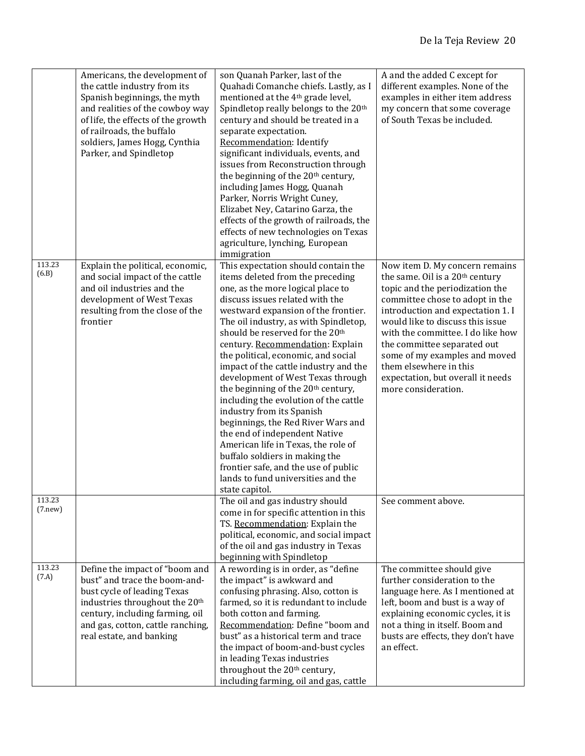|                    | Americans, the development of<br>the cattle industry from its<br>Spanish beginnings, the myth<br>and realities of the cowboy way<br>of life, the effects of the growth<br>of railroads, the buffalo<br>soldiers, James Hogg, Cynthia<br>Parker, and Spindletop | son Quanah Parker, last of the<br>Quahadi Comanche chiefs. Lastly, as I<br>mentioned at the 4 <sup>th</sup> grade level,<br>Spindletop really belongs to the 20th<br>century and should be treated in a<br>separate expectation.<br>Recommendation: Identify<br>significant individuals, events, and<br>issues from Reconstruction through<br>the beginning of the 20 <sup>th</sup> century,<br>including James Hogg, Quanah<br>Parker, Norris Wright Cuney,<br>Elizabet Ney, Catarino Garza, the<br>effects of the growth of railroads, the<br>effects of new technologies on Texas<br>agriculture, lynching, European<br>immigration                                                                                                                                                                          | A and the added C except for<br>different examples. None of the<br>examples in either item address<br>my concern that some coverage<br>of South Texas be included.                                                                                                                                                                                                                                                      |
|--------------------|----------------------------------------------------------------------------------------------------------------------------------------------------------------------------------------------------------------------------------------------------------------|-----------------------------------------------------------------------------------------------------------------------------------------------------------------------------------------------------------------------------------------------------------------------------------------------------------------------------------------------------------------------------------------------------------------------------------------------------------------------------------------------------------------------------------------------------------------------------------------------------------------------------------------------------------------------------------------------------------------------------------------------------------------------------------------------------------------|-------------------------------------------------------------------------------------------------------------------------------------------------------------------------------------------------------------------------------------------------------------------------------------------------------------------------------------------------------------------------------------------------------------------------|
| 113.23<br>(6.B)    | Explain the political, economic,<br>and social impact of the cattle<br>and oil industries and the<br>development of West Texas<br>resulting from the close of the<br>frontier                                                                                  | This expectation should contain the<br>items deleted from the preceding<br>one, as the more logical place to<br>discuss issues related with the<br>westward expansion of the frontier.<br>The oil industry, as with Spindletop,<br>should be reserved for the 20 <sup>th</sup><br>century. Recommendation: Explain<br>the political, economic, and social<br>impact of the cattle industry and the<br>development of West Texas through<br>the beginning of the 20 <sup>th</sup> century,<br>including the evolution of the cattle<br>industry from its Spanish<br>beginnings, the Red River Wars and<br>the end of independent Native<br>American life in Texas, the role of<br>buffalo soldiers in making the<br>frontier safe, and the use of public<br>lands to fund universities and the<br>state capitol. | Now item D. My concern remains<br>the same. Oil is a 20 <sup>th</sup> century<br>topic and the periodization the<br>committee chose to adopt in the<br>introduction and expectation 1. I<br>would like to discuss this issue<br>with the committee. I do like how<br>the committee separated out<br>some of my examples and moved<br>them elsewhere in this<br>expectation, but overall it needs<br>more consideration. |
| 113.23<br>(7. new) |                                                                                                                                                                                                                                                                | The oil and gas industry should<br>come in for specific attention in this<br>TS. Recommendation: Explain the<br>political, economic, and social impact<br>of the oil and gas industry in Texas<br>beginning with Spindletop                                                                                                                                                                                                                                                                                                                                                                                                                                                                                                                                                                                     | See comment above.                                                                                                                                                                                                                                                                                                                                                                                                      |
| 113.23<br>(7.A)    | Define the impact of "boom and<br>bust" and trace the boom-and-<br>bust cycle of leading Texas<br>industries throughout the 20 <sup>th</sup><br>century, including farming, oil<br>and gas, cotton, cattle ranching,<br>real estate, and banking               | A rewording is in order, as "define<br>the impact" is awkward and<br>confusing phrasing. Also, cotton is<br>farmed, so it is redundant to include<br>both cotton and farming.<br>Recommendation: Define "boom and<br>bust" as a historical term and trace<br>the impact of boom-and-bust cycles<br>in leading Texas industries<br>throughout the 20 <sup>th</sup> century,<br>including farming, oil and gas, cattle                                                                                                                                                                                                                                                                                                                                                                                            | The committee should give<br>further consideration to the<br>language here. As I mentioned at<br>left, boom and bust is a way of<br>explaining economic cycles, it is<br>not a thing in itself. Boom and<br>busts are effects, they don't have<br>an effect.                                                                                                                                                            |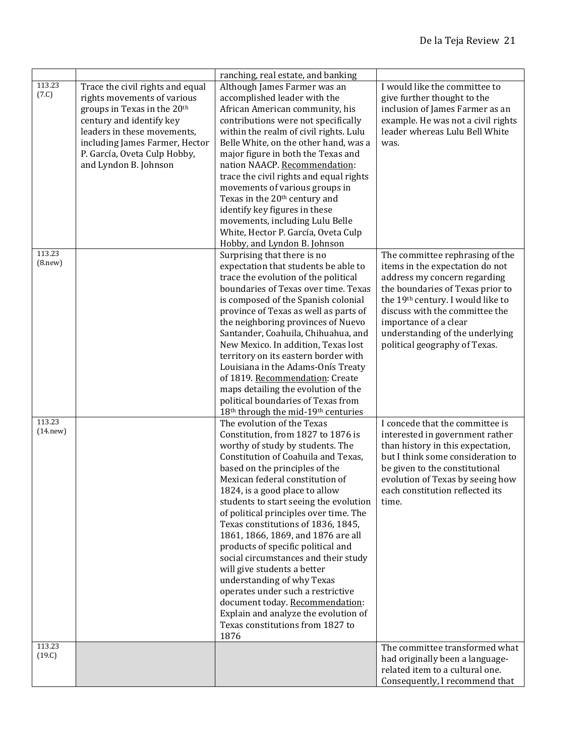|                     |                                                                                                                                                                                                                                                                  | ranching, real estate, and banking                                                                                                                                                                                                                                                                                                                                                                                                                                                                                                                                                                                                                                                                                        |                                                                                                                                                                                                                                                                                                            |
|---------------------|------------------------------------------------------------------------------------------------------------------------------------------------------------------------------------------------------------------------------------------------------------------|---------------------------------------------------------------------------------------------------------------------------------------------------------------------------------------------------------------------------------------------------------------------------------------------------------------------------------------------------------------------------------------------------------------------------------------------------------------------------------------------------------------------------------------------------------------------------------------------------------------------------------------------------------------------------------------------------------------------------|------------------------------------------------------------------------------------------------------------------------------------------------------------------------------------------------------------------------------------------------------------------------------------------------------------|
| 113.23<br>(7.C)     | Trace the civil rights and equal<br>rights movements of various<br>groups in Texas in the 20 <sup>th</sup><br>century and identify key<br>leaders in these movements,<br>including James Farmer, Hector<br>P. García, Oveta Culp Hobby,<br>and Lyndon B. Johnson | Although James Farmer was an<br>accomplished leader with the<br>African American community, his<br>contributions were not specifically<br>within the realm of civil rights. Lulu<br>Belle White, on the other hand, was a<br>major figure in both the Texas and<br>nation NAACP. Recommendation:<br>trace the civil rights and equal rights<br>movements of various groups in<br>Texas in the 20 <sup>th</sup> century and<br>identify key figures in these<br>movements, including Lulu Belle<br>White, Hector P. García, Oveta Culp<br>Hobby, and Lyndon B. Johnson                                                                                                                                                     | I would like the committee to<br>give further thought to the<br>inclusion of James Farmer as an<br>example. He was not a civil rights<br>leader whereas Lulu Bell White<br>was.                                                                                                                            |
| 113.23<br>(8. new)  |                                                                                                                                                                                                                                                                  | Surprising that there is no<br>expectation that students be able to<br>trace the evolution of the political<br>boundaries of Texas over time. Texas<br>is composed of the Spanish colonial<br>province of Texas as well as parts of<br>the neighboring provinces of Nuevo<br>Santander, Coahuila, Chihuahua, and<br>New Mexico. In addition, Texas lost<br>territory on its eastern border with<br>Louisiana in the Adams-Onís Treaty<br>of 1819. Recommendation: Create<br>maps detailing the evolution of the<br>political boundaries of Texas from<br>18 <sup>th</sup> through the mid-19 <sup>th</sup> centuries                                                                                                      | The committee rephrasing of the<br>items in the expectation do not<br>address my concern regarding<br>the boundaries of Texas prior to<br>the 19th century. I would like to<br>discuss with the committee the<br>importance of a clear<br>understanding of the underlying<br>political geography of Texas. |
| 113.23<br>(14. new) |                                                                                                                                                                                                                                                                  | The evolution of the Texas<br>Constitution, from 1827 to 1876 is<br>worthy of study by students. The<br>Constitution of Coahuila and Texas,<br>based on the principles of the<br>Mexican federal constitution of<br>1824, is a good place to allow<br>students to start seeing the evolution<br>of political principles over time. The<br>Texas constitutions of 1836, 1845,<br>1861, 1866, 1869, and 1876 are all<br>products of specific political and<br>social circumstances and their study<br>will give students a better<br>understanding of why Texas<br>operates under such a restrictive<br>document today. Recommendation:<br>Explain and analyze the evolution of<br>Texas constitutions from 1827 to<br>1876 | I concede that the committee is<br>interested in government rather<br>than history in this expectation,<br>but I think some consideration to<br>be given to the constitutional<br>evolution of Texas by seeing how<br>each constitution reflected its<br>time.                                             |
| 113.23<br>(19.C)    |                                                                                                                                                                                                                                                                  |                                                                                                                                                                                                                                                                                                                                                                                                                                                                                                                                                                                                                                                                                                                           | The committee transformed what<br>had originally been a language-<br>related item to a cultural one.<br>Consequently, I recommend that                                                                                                                                                                     |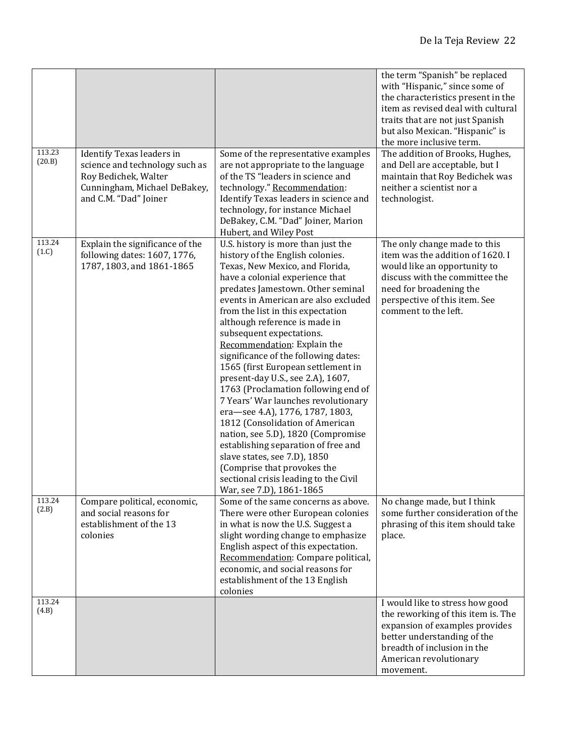| 113.23<br>(20.B) | Identify Texas leaders in<br>science and technology such as<br>Roy Bedichek, Walter<br>Cunningham, Michael DeBakey,<br>and C.M. "Dad" Joiner | Some of the representative examples<br>are not appropriate to the language<br>of the TS "leaders in science and<br>technology." Recommendation:<br>Identify Texas leaders in science and                                                                                                                                                                                                                                                                                                                                                                                                                                                                                                                                                                                                                                                           | the term "Spanish" be replaced<br>with "Hispanic," since some of<br>the characteristics present in the<br>item as revised deal with cultural<br>traits that are not just Spanish<br>but also Mexican. "Hispanic" is<br>the more inclusive term.<br>The addition of Brooks, Hughes,<br>and Dell are acceptable, but I<br>maintain that Roy Bedichek was<br>neither a scientist nor a<br>technologist. |
|------------------|----------------------------------------------------------------------------------------------------------------------------------------------|----------------------------------------------------------------------------------------------------------------------------------------------------------------------------------------------------------------------------------------------------------------------------------------------------------------------------------------------------------------------------------------------------------------------------------------------------------------------------------------------------------------------------------------------------------------------------------------------------------------------------------------------------------------------------------------------------------------------------------------------------------------------------------------------------------------------------------------------------|------------------------------------------------------------------------------------------------------------------------------------------------------------------------------------------------------------------------------------------------------------------------------------------------------------------------------------------------------------------------------------------------------|
|                  |                                                                                                                                              | technology, for instance Michael<br>DeBakey, C.M. "Dad" Joiner, Marion<br>Hubert, and Wiley Post                                                                                                                                                                                                                                                                                                                                                                                                                                                                                                                                                                                                                                                                                                                                                   |                                                                                                                                                                                                                                                                                                                                                                                                      |
| 113.24<br>(1.C)  | Explain the significance of the<br>following dates: 1607, 1776,<br>1787, 1803, and 1861-1865                                                 | U.S. history is more than just the<br>history of the English colonies.<br>Texas, New Mexico, and Florida,<br>have a colonial experience that<br>predates Jamestown. Other seminal<br>events in American are also excluded<br>from the list in this expectation<br>although reference is made in<br>subsequent expectations.<br>Recommendation: Explain the<br>significance of the following dates:<br>1565 (first European settlement in<br>present-day U.S., see 2.A), 1607,<br>1763 (Proclamation following end of<br>7 Years' War launches revolutionary<br>era-see 4.A), 1776, 1787, 1803,<br>1812 (Consolidation of American<br>nation, see 5.D), 1820 (Compromise<br>establishing separation of free and<br>slave states, see 7.D), 1850<br>(Comprise that provokes the<br>sectional crisis leading to the Civil<br>War, see 7.D), 1861-1865 | The only change made to this<br>item was the addition of 1620. I<br>would like an opportunity to<br>discuss with the committee the<br>need for broadening the<br>perspective of this item. See<br>comment to the left.                                                                                                                                                                               |
| 113.24<br>(2.B)  | Compare political, economic,<br>and social reasons for<br>establishment of the 13<br>colonies                                                | Some of the same concerns as above.<br>There were other European colonies<br>in what is now the U.S. Suggest a<br>slight wording change to emphasize<br>English aspect of this expectation.<br>Recommendation: Compare political,<br>economic, and social reasons for<br>establishment of the 13 English<br>colonies                                                                                                                                                                                                                                                                                                                                                                                                                                                                                                                               | No change made, but I think<br>some further consideration of the<br>phrasing of this item should take<br>place.                                                                                                                                                                                                                                                                                      |
| 113.24<br>(4.B)  |                                                                                                                                              |                                                                                                                                                                                                                                                                                                                                                                                                                                                                                                                                                                                                                                                                                                                                                                                                                                                    | I would like to stress how good<br>the reworking of this item is. The<br>expansion of examples provides<br>better understanding of the<br>breadth of inclusion in the<br>American revolutionary<br>movement.                                                                                                                                                                                         |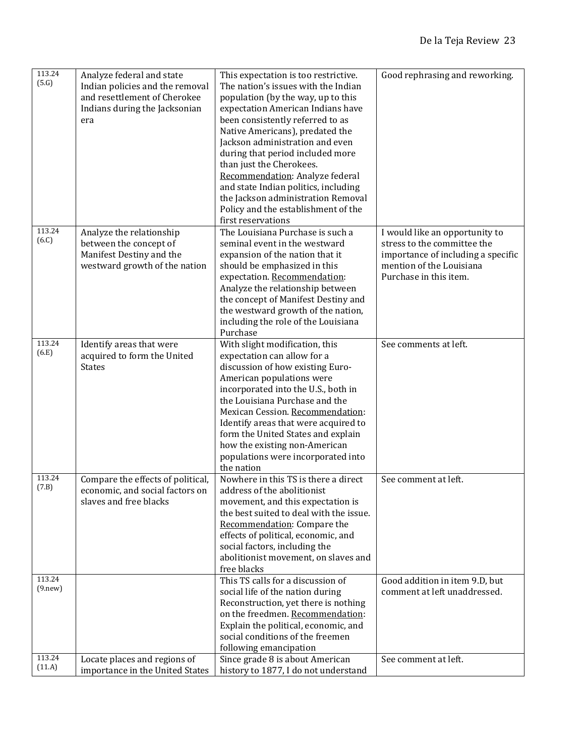| (5.G)<br>The nation's issues with the Indian<br>Indian policies and the removal<br>and resettlement of Cherokee<br>population (by the way, up to this<br>Indians during the Jacksonian<br>expectation American Indians have<br>been consistently referred to as<br>era<br>Native Americans), predated the<br>Jackson administration and even<br>during that period included more<br>than just the Cherokees.<br>Recommendation: Analyze federal<br>and state Indian politics, including<br>the Jackson administration Removal<br>Policy and the establishment of the<br>first reservations<br>113.24<br>The Louisiana Purchase is such a<br>Analyze the relationship<br>I would like an opportunity to<br>(6.C)<br>stress to the committee the<br>between the concept of<br>seminal event in the westward<br>Manifest Destiny and the<br>expansion of the nation that it<br>importance of including a specific<br>mention of the Louisiana<br>westward growth of the nation<br>should be emphasized in this<br>Purchase in this item.<br>expectation. Recommendation:<br>Analyze the relationship between<br>the concept of Manifest Destiny and<br>the westward growth of the nation,<br>including the role of the Louisiana<br>Purchase<br>113.24<br>Identify areas that were<br>With slight modification, this<br>See comments at left.<br>(6.E)<br>acquired to form the United<br>expectation can allow for a<br><b>States</b><br>discussion of how existing Euro-<br>American populations were<br>incorporated into the U.S., both in<br>the Louisiana Purchase and the<br>Mexican Cession. Recommendation:<br>Identify areas that were acquired to<br>form the United States and explain<br>how the existing non-American<br>populations were incorporated into<br>the nation<br>113.24<br>Nowhere in this TS is there a direct<br>Compare the effects of political,<br>See comment at left.<br>(7.B)<br>address of the abolitionist<br>economic, and social factors on<br>slaves and free blacks<br>movement, and this expectation is<br>the best suited to deal with the issue.<br>Recommendation: Compare the<br>effects of political, economic, and<br>social factors, including the<br>abolitionist movement, on slaves and<br>free blacks<br>113.24<br>This TS calls for a discussion of<br>Good addition in item 9.D, but<br>(9. new)<br>comment at left unaddressed.<br>social life of the nation during<br>Reconstruction, yet there is nothing<br>on the freedmen. Recommendation:<br>Explain the political, economic, and<br>social conditions of the freemen<br>following emancipation<br>113.24<br>Since grade 8 is about American<br>Locate places and regions of<br>See comment at left.<br>(11.A)<br>history to 1877, I do not understand<br>importance in the United States | 113.24 | Analyze federal and state | This expectation is too restrictive. | Good rephrasing and reworking. |
|----------------------------------------------------------------------------------------------------------------------------------------------------------------------------------------------------------------------------------------------------------------------------------------------------------------------------------------------------------------------------------------------------------------------------------------------------------------------------------------------------------------------------------------------------------------------------------------------------------------------------------------------------------------------------------------------------------------------------------------------------------------------------------------------------------------------------------------------------------------------------------------------------------------------------------------------------------------------------------------------------------------------------------------------------------------------------------------------------------------------------------------------------------------------------------------------------------------------------------------------------------------------------------------------------------------------------------------------------------------------------------------------------------------------------------------------------------------------------------------------------------------------------------------------------------------------------------------------------------------------------------------------------------------------------------------------------------------------------------------------------------------------------------------------------------------------------------------------------------------------------------------------------------------------------------------------------------------------------------------------------------------------------------------------------------------------------------------------------------------------------------------------------------------------------------------------------------------------------------------------------------------------------------------------------------------------------------------------------------------------------------------------------------------------------------------------------------------------------------------------------------------------------------------------------------------------------------------------------------------------------------------------------------------------------------------------------------------------------------------------------------------------------------------------------|--------|---------------------------|--------------------------------------|--------------------------------|
|                                                                                                                                                                                                                                                                                                                                                                                                                                                                                                                                                                                                                                                                                                                                                                                                                                                                                                                                                                                                                                                                                                                                                                                                                                                                                                                                                                                                                                                                                                                                                                                                                                                                                                                                                                                                                                                                                                                                                                                                                                                                                                                                                                                                                                                                                                                                                                                                                                                                                                                                                                                                                                                                                                                                                                                                    |        |                           |                                      |                                |
|                                                                                                                                                                                                                                                                                                                                                                                                                                                                                                                                                                                                                                                                                                                                                                                                                                                                                                                                                                                                                                                                                                                                                                                                                                                                                                                                                                                                                                                                                                                                                                                                                                                                                                                                                                                                                                                                                                                                                                                                                                                                                                                                                                                                                                                                                                                                                                                                                                                                                                                                                                                                                                                                                                                                                                                                    |        |                           |                                      |                                |
|                                                                                                                                                                                                                                                                                                                                                                                                                                                                                                                                                                                                                                                                                                                                                                                                                                                                                                                                                                                                                                                                                                                                                                                                                                                                                                                                                                                                                                                                                                                                                                                                                                                                                                                                                                                                                                                                                                                                                                                                                                                                                                                                                                                                                                                                                                                                                                                                                                                                                                                                                                                                                                                                                                                                                                                                    |        |                           |                                      |                                |
|                                                                                                                                                                                                                                                                                                                                                                                                                                                                                                                                                                                                                                                                                                                                                                                                                                                                                                                                                                                                                                                                                                                                                                                                                                                                                                                                                                                                                                                                                                                                                                                                                                                                                                                                                                                                                                                                                                                                                                                                                                                                                                                                                                                                                                                                                                                                                                                                                                                                                                                                                                                                                                                                                                                                                                                                    |        |                           |                                      |                                |
|                                                                                                                                                                                                                                                                                                                                                                                                                                                                                                                                                                                                                                                                                                                                                                                                                                                                                                                                                                                                                                                                                                                                                                                                                                                                                                                                                                                                                                                                                                                                                                                                                                                                                                                                                                                                                                                                                                                                                                                                                                                                                                                                                                                                                                                                                                                                                                                                                                                                                                                                                                                                                                                                                                                                                                                                    |        |                           |                                      |                                |
|                                                                                                                                                                                                                                                                                                                                                                                                                                                                                                                                                                                                                                                                                                                                                                                                                                                                                                                                                                                                                                                                                                                                                                                                                                                                                                                                                                                                                                                                                                                                                                                                                                                                                                                                                                                                                                                                                                                                                                                                                                                                                                                                                                                                                                                                                                                                                                                                                                                                                                                                                                                                                                                                                                                                                                                                    |        |                           |                                      |                                |
|                                                                                                                                                                                                                                                                                                                                                                                                                                                                                                                                                                                                                                                                                                                                                                                                                                                                                                                                                                                                                                                                                                                                                                                                                                                                                                                                                                                                                                                                                                                                                                                                                                                                                                                                                                                                                                                                                                                                                                                                                                                                                                                                                                                                                                                                                                                                                                                                                                                                                                                                                                                                                                                                                                                                                                                                    |        |                           |                                      |                                |
|                                                                                                                                                                                                                                                                                                                                                                                                                                                                                                                                                                                                                                                                                                                                                                                                                                                                                                                                                                                                                                                                                                                                                                                                                                                                                                                                                                                                                                                                                                                                                                                                                                                                                                                                                                                                                                                                                                                                                                                                                                                                                                                                                                                                                                                                                                                                                                                                                                                                                                                                                                                                                                                                                                                                                                                                    |        |                           |                                      |                                |
|                                                                                                                                                                                                                                                                                                                                                                                                                                                                                                                                                                                                                                                                                                                                                                                                                                                                                                                                                                                                                                                                                                                                                                                                                                                                                                                                                                                                                                                                                                                                                                                                                                                                                                                                                                                                                                                                                                                                                                                                                                                                                                                                                                                                                                                                                                                                                                                                                                                                                                                                                                                                                                                                                                                                                                                                    |        |                           |                                      |                                |
|                                                                                                                                                                                                                                                                                                                                                                                                                                                                                                                                                                                                                                                                                                                                                                                                                                                                                                                                                                                                                                                                                                                                                                                                                                                                                                                                                                                                                                                                                                                                                                                                                                                                                                                                                                                                                                                                                                                                                                                                                                                                                                                                                                                                                                                                                                                                                                                                                                                                                                                                                                                                                                                                                                                                                                                                    |        |                           |                                      |                                |
|                                                                                                                                                                                                                                                                                                                                                                                                                                                                                                                                                                                                                                                                                                                                                                                                                                                                                                                                                                                                                                                                                                                                                                                                                                                                                                                                                                                                                                                                                                                                                                                                                                                                                                                                                                                                                                                                                                                                                                                                                                                                                                                                                                                                                                                                                                                                                                                                                                                                                                                                                                                                                                                                                                                                                                                                    |        |                           |                                      |                                |
|                                                                                                                                                                                                                                                                                                                                                                                                                                                                                                                                                                                                                                                                                                                                                                                                                                                                                                                                                                                                                                                                                                                                                                                                                                                                                                                                                                                                                                                                                                                                                                                                                                                                                                                                                                                                                                                                                                                                                                                                                                                                                                                                                                                                                                                                                                                                                                                                                                                                                                                                                                                                                                                                                                                                                                                                    |        |                           |                                      |                                |
|                                                                                                                                                                                                                                                                                                                                                                                                                                                                                                                                                                                                                                                                                                                                                                                                                                                                                                                                                                                                                                                                                                                                                                                                                                                                                                                                                                                                                                                                                                                                                                                                                                                                                                                                                                                                                                                                                                                                                                                                                                                                                                                                                                                                                                                                                                                                                                                                                                                                                                                                                                                                                                                                                                                                                                                                    |        |                           |                                      |                                |
|                                                                                                                                                                                                                                                                                                                                                                                                                                                                                                                                                                                                                                                                                                                                                                                                                                                                                                                                                                                                                                                                                                                                                                                                                                                                                                                                                                                                                                                                                                                                                                                                                                                                                                                                                                                                                                                                                                                                                                                                                                                                                                                                                                                                                                                                                                                                                                                                                                                                                                                                                                                                                                                                                                                                                                                                    |        |                           |                                      |                                |
|                                                                                                                                                                                                                                                                                                                                                                                                                                                                                                                                                                                                                                                                                                                                                                                                                                                                                                                                                                                                                                                                                                                                                                                                                                                                                                                                                                                                                                                                                                                                                                                                                                                                                                                                                                                                                                                                                                                                                                                                                                                                                                                                                                                                                                                                                                                                                                                                                                                                                                                                                                                                                                                                                                                                                                                                    |        |                           |                                      |                                |
|                                                                                                                                                                                                                                                                                                                                                                                                                                                                                                                                                                                                                                                                                                                                                                                                                                                                                                                                                                                                                                                                                                                                                                                                                                                                                                                                                                                                                                                                                                                                                                                                                                                                                                                                                                                                                                                                                                                                                                                                                                                                                                                                                                                                                                                                                                                                                                                                                                                                                                                                                                                                                                                                                                                                                                                                    |        |                           |                                      |                                |
|                                                                                                                                                                                                                                                                                                                                                                                                                                                                                                                                                                                                                                                                                                                                                                                                                                                                                                                                                                                                                                                                                                                                                                                                                                                                                                                                                                                                                                                                                                                                                                                                                                                                                                                                                                                                                                                                                                                                                                                                                                                                                                                                                                                                                                                                                                                                                                                                                                                                                                                                                                                                                                                                                                                                                                                                    |        |                           |                                      |                                |
|                                                                                                                                                                                                                                                                                                                                                                                                                                                                                                                                                                                                                                                                                                                                                                                                                                                                                                                                                                                                                                                                                                                                                                                                                                                                                                                                                                                                                                                                                                                                                                                                                                                                                                                                                                                                                                                                                                                                                                                                                                                                                                                                                                                                                                                                                                                                                                                                                                                                                                                                                                                                                                                                                                                                                                                                    |        |                           |                                      |                                |
|                                                                                                                                                                                                                                                                                                                                                                                                                                                                                                                                                                                                                                                                                                                                                                                                                                                                                                                                                                                                                                                                                                                                                                                                                                                                                                                                                                                                                                                                                                                                                                                                                                                                                                                                                                                                                                                                                                                                                                                                                                                                                                                                                                                                                                                                                                                                                                                                                                                                                                                                                                                                                                                                                                                                                                                                    |        |                           |                                      |                                |
|                                                                                                                                                                                                                                                                                                                                                                                                                                                                                                                                                                                                                                                                                                                                                                                                                                                                                                                                                                                                                                                                                                                                                                                                                                                                                                                                                                                                                                                                                                                                                                                                                                                                                                                                                                                                                                                                                                                                                                                                                                                                                                                                                                                                                                                                                                                                                                                                                                                                                                                                                                                                                                                                                                                                                                                                    |        |                           |                                      |                                |
|                                                                                                                                                                                                                                                                                                                                                                                                                                                                                                                                                                                                                                                                                                                                                                                                                                                                                                                                                                                                                                                                                                                                                                                                                                                                                                                                                                                                                                                                                                                                                                                                                                                                                                                                                                                                                                                                                                                                                                                                                                                                                                                                                                                                                                                                                                                                                                                                                                                                                                                                                                                                                                                                                                                                                                                                    |        |                           |                                      |                                |
|                                                                                                                                                                                                                                                                                                                                                                                                                                                                                                                                                                                                                                                                                                                                                                                                                                                                                                                                                                                                                                                                                                                                                                                                                                                                                                                                                                                                                                                                                                                                                                                                                                                                                                                                                                                                                                                                                                                                                                                                                                                                                                                                                                                                                                                                                                                                                                                                                                                                                                                                                                                                                                                                                                                                                                                                    |        |                           |                                      |                                |
|                                                                                                                                                                                                                                                                                                                                                                                                                                                                                                                                                                                                                                                                                                                                                                                                                                                                                                                                                                                                                                                                                                                                                                                                                                                                                                                                                                                                                                                                                                                                                                                                                                                                                                                                                                                                                                                                                                                                                                                                                                                                                                                                                                                                                                                                                                                                                                                                                                                                                                                                                                                                                                                                                                                                                                                                    |        |                           |                                      |                                |
|                                                                                                                                                                                                                                                                                                                                                                                                                                                                                                                                                                                                                                                                                                                                                                                                                                                                                                                                                                                                                                                                                                                                                                                                                                                                                                                                                                                                                                                                                                                                                                                                                                                                                                                                                                                                                                                                                                                                                                                                                                                                                                                                                                                                                                                                                                                                                                                                                                                                                                                                                                                                                                                                                                                                                                                                    |        |                           |                                      |                                |
|                                                                                                                                                                                                                                                                                                                                                                                                                                                                                                                                                                                                                                                                                                                                                                                                                                                                                                                                                                                                                                                                                                                                                                                                                                                                                                                                                                                                                                                                                                                                                                                                                                                                                                                                                                                                                                                                                                                                                                                                                                                                                                                                                                                                                                                                                                                                                                                                                                                                                                                                                                                                                                                                                                                                                                                                    |        |                           |                                      |                                |
|                                                                                                                                                                                                                                                                                                                                                                                                                                                                                                                                                                                                                                                                                                                                                                                                                                                                                                                                                                                                                                                                                                                                                                                                                                                                                                                                                                                                                                                                                                                                                                                                                                                                                                                                                                                                                                                                                                                                                                                                                                                                                                                                                                                                                                                                                                                                                                                                                                                                                                                                                                                                                                                                                                                                                                                                    |        |                           |                                      |                                |
|                                                                                                                                                                                                                                                                                                                                                                                                                                                                                                                                                                                                                                                                                                                                                                                                                                                                                                                                                                                                                                                                                                                                                                                                                                                                                                                                                                                                                                                                                                                                                                                                                                                                                                                                                                                                                                                                                                                                                                                                                                                                                                                                                                                                                                                                                                                                                                                                                                                                                                                                                                                                                                                                                                                                                                                                    |        |                           |                                      |                                |
|                                                                                                                                                                                                                                                                                                                                                                                                                                                                                                                                                                                                                                                                                                                                                                                                                                                                                                                                                                                                                                                                                                                                                                                                                                                                                                                                                                                                                                                                                                                                                                                                                                                                                                                                                                                                                                                                                                                                                                                                                                                                                                                                                                                                                                                                                                                                                                                                                                                                                                                                                                                                                                                                                                                                                                                                    |        |                           |                                      |                                |
|                                                                                                                                                                                                                                                                                                                                                                                                                                                                                                                                                                                                                                                                                                                                                                                                                                                                                                                                                                                                                                                                                                                                                                                                                                                                                                                                                                                                                                                                                                                                                                                                                                                                                                                                                                                                                                                                                                                                                                                                                                                                                                                                                                                                                                                                                                                                                                                                                                                                                                                                                                                                                                                                                                                                                                                                    |        |                           |                                      |                                |
|                                                                                                                                                                                                                                                                                                                                                                                                                                                                                                                                                                                                                                                                                                                                                                                                                                                                                                                                                                                                                                                                                                                                                                                                                                                                                                                                                                                                                                                                                                                                                                                                                                                                                                                                                                                                                                                                                                                                                                                                                                                                                                                                                                                                                                                                                                                                                                                                                                                                                                                                                                                                                                                                                                                                                                                                    |        |                           |                                      |                                |
|                                                                                                                                                                                                                                                                                                                                                                                                                                                                                                                                                                                                                                                                                                                                                                                                                                                                                                                                                                                                                                                                                                                                                                                                                                                                                                                                                                                                                                                                                                                                                                                                                                                                                                                                                                                                                                                                                                                                                                                                                                                                                                                                                                                                                                                                                                                                                                                                                                                                                                                                                                                                                                                                                                                                                                                                    |        |                           |                                      |                                |
|                                                                                                                                                                                                                                                                                                                                                                                                                                                                                                                                                                                                                                                                                                                                                                                                                                                                                                                                                                                                                                                                                                                                                                                                                                                                                                                                                                                                                                                                                                                                                                                                                                                                                                                                                                                                                                                                                                                                                                                                                                                                                                                                                                                                                                                                                                                                                                                                                                                                                                                                                                                                                                                                                                                                                                                                    |        |                           |                                      |                                |
|                                                                                                                                                                                                                                                                                                                                                                                                                                                                                                                                                                                                                                                                                                                                                                                                                                                                                                                                                                                                                                                                                                                                                                                                                                                                                                                                                                                                                                                                                                                                                                                                                                                                                                                                                                                                                                                                                                                                                                                                                                                                                                                                                                                                                                                                                                                                                                                                                                                                                                                                                                                                                                                                                                                                                                                                    |        |                           |                                      |                                |
|                                                                                                                                                                                                                                                                                                                                                                                                                                                                                                                                                                                                                                                                                                                                                                                                                                                                                                                                                                                                                                                                                                                                                                                                                                                                                                                                                                                                                                                                                                                                                                                                                                                                                                                                                                                                                                                                                                                                                                                                                                                                                                                                                                                                                                                                                                                                                                                                                                                                                                                                                                                                                                                                                                                                                                                                    |        |                           |                                      |                                |
|                                                                                                                                                                                                                                                                                                                                                                                                                                                                                                                                                                                                                                                                                                                                                                                                                                                                                                                                                                                                                                                                                                                                                                                                                                                                                                                                                                                                                                                                                                                                                                                                                                                                                                                                                                                                                                                                                                                                                                                                                                                                                                                                                                                                                                                                                                                                                                                                                                                                                                                                                                                                                                                                                                                                                                                                    |        |                           |                                      |                                |
|                                                                                                                                                                                                                                                                                                                                                                                                                                                                                                                                                                                                                                                                                                                                                                                                                                                                                                                                                                                                                                                                                                                                                                                                                                                                                                                                                                                                                                                                                                                                                                                                                                                                                                                                                                                                                                                                                                                                                                                                                                                                                                                                                                                                                                                                                                                                                                                                                                                                                                                                                                                                                                                                                                                                                                                                    |        |                           |                                      |                                |
|                                                                                                                                                                                                                                                                                                                                                                                                                                                                                                                                                                                                                                                                                                                                                                                                                                                                                                                                                                                                                                                                                                                                                                                                                                                                                                                                                                                                                                                                                                                                                                                                                                                                                                                                                                                                                                                                                                                                                                                                                                                                                                                                                                                                                                                                                                                                                                                                                                                                                                                                                                                                                                                                                                                                                                                                    |        |                           |                                      |                                |
|                                                                                                                                                                                                                                                                                                                                                                                                                                                                                                                                                                                                                                                                                                                                                                                                                                                                                                                                                                                                                                                                                                                                                                                                                                                                                                                                                                                                                                                                                                                                                                                                                                                                                                                                                                                                                                                                                                                                                                                                                                                                                                                                                                                                                                                                                                                                                                                                                                                                                                                                                                                                                                                                                                                                                                                                    |        |                           |                                      |                                |
|                                                                                                                                                                                                                                                                                                                                                                                                                                                                                                                                                                                                                                                                                                                                                                                                                                                                                                                                                                                                                                                                                                                                                                                                                                                                                                                                                                                                                                                                                                                                                                                                                                                                                                                                                                                                                                                                                                                                                                                                                                                                                                                                                                                                                                                                                                                                                                                                                                                                                                                                                                                                                                                                                                                                                                                                    |        |                           |                                      |                                |
|                                                                                                                                                                                                                                                                                                                                                                                                                                                                                                                                                                                                                                                                                                                                                                                                                                                                                                                                                                                                                                                                                                                                                                                                                                                                                                                                                                                                                                                                                                                                                                                                                                                                                                                                                                                                                                                                                                                                                                                                                                                                                                                                                                                                                                                                                                                                                                                                                                                                                                                                                                                                                                                                                                                                                                                                    |        |                           |                                      |                                |
|                                                                                                                                                                                                                                                                                                                                                                                                                                                                                                                                                                                                                                                                                                                                                                                                                                                                                                                                                                                                                                                                                                                                                                                                                                                                                                                                                                                                                                                                                                                                                                                                                                                                                                                                                                                                                                                                                                                                                                                                                                                                                                                                                                                                                                                                                                                                                                                                                                                                                                                                                                                                                                                                                                                                                                                                    |        |                           |                                      |                                |
|                                                                                                                                                                                                                                                                                                                                                                                                                                                                                                                                                                                                                                                                                                                                                                                                                                                                                                                                                                                                                                                                                                                                                                                                                                                                                                                                                                                                                                                                                                                                                                                                                                                                                                                                                                                                                                                                                                                                                                                                                                                                                                                                                                                                                                                                                                                                                                                                                                                                                                                                                                                                                                                                                                                                                                                                    |        |                           |                                      |                                |
|                                                                                                                                                                                                                                                                                                                                                                                                                                                                                                                                                                                                                                                                                                                                                                                                                                                                                                                                                                                                                                                                                                                                                                                                                                                                                                                                                                                                                                                                                                                                                                                                                                                                                                                                                                                                                                                                                                                                                                                                                                                                                                                                                                                                                                                                                                                                                                                                                                                                                                                                                                                                                                                                                                                                                                                                    |        |                           |                                      |                                |
|                                                                                                                                                                                                                                                                                                                                                                                                                                                                                                                                                                                                                                                                                                                                                                                                                                                                                                                                                                                                                                                                                                                                                                                                                                                                                                                                                                                                                                                                                                                                                                                                                                                                                                                                                                                                                                                                                                                                                                                                                                                                                                                                                                                                                                                                                                                                                                                                                                                                                                                                                                                                                                                                                                                                                                                                    |        |                           |                                      |                                |
|                                                                                                                                                                                                                                                                                                                                                                                                                                                                                                                                                                                                                                                                                                                                                                                                                                                                                                                                                                                                                                                                                                                                                                                                                                                                                                                                                                                                                                                                                                                                                                                                                                                                                                                                                                                                                                                                                                                                                                                                                                                                                                                                                                                                                                                                                                                                                                                                                                                                                                                                                                                                                                                                                                                                                                                                    |        |                           |                                      |                                |
|                                                                                                                                                                                                                                                                                                                                                                                                                                                                                                                                                                                                                                                                                                                                                                                                                                                                                                                                                                                                                                                                                                                                                                                                                                                                                                                                                                                                                                                                                                                                                                                                                                                                                                                                                                                                                                                                                                                                                                                                                                                                                                                                                                                                                                                                                                                                                                                                                                                                                                                                                                                                                                                                                                                                                                                                    |        |                           |                                      |                                |
|                                                                                                                                                                                                                                                                                                                                                                                                                                                                                                                                                                                                                                                                                                                                                                                                                                                                                                                                                                                                                                                                                                                                                                                                                                                                                                                                                                                                                                                                                                                                                                                                                                                                                                                                                                                                                                                                                                                                                                                                                                                                                                                                                                                                                                                                                                                                                                                                                                                                                                                                                                                                                                                                                                                                                                                                    |        |                           |                                      |                                |
|                                                                                                                                                                                                                                                                                                                                                                                                                                                                                                                                                                                                                                                                                                                                                                                                                                                                                                                                                                                                                                                                                                                                                                                                                                                                                                                                                                                                                                                                                                                                                                                                                                                                                                                                                                                                                                                                                                                                                                                                                                                                                                                                                                                                                                                                                                                                                                                                                                                                                                                                                                                                                                                                                                                                                                                                    |        |                           |                                      |                                |
|                                                                                                                                                                                                                                                                                                                                                                                                                                                                                                                                                                                                                                                                                                                                                                                                                                                                                                                                                                                                                                                                                                                                                                                                                                                                                                                                                                                                                                                                                                                                                                                                                                                                                                                                                                                                                                                                                                                                                                                                                                                                                                                                                                                                                                                                                                                                                                                                                                                                                                                                                                                                                                                                                                                                                                                                    |        |                           |                                      |                                |
|                                                                                                                                                                                                                                                                                                                                                                                                                                                                                                                                                                                                                                                                                                                                                                                                                                                                                                                                                                                                                                                                                                                                                                                                                                                                                                                                                                                                                                                                                                                                                                                                                                                                                                                                                                                                                                                                                                                                                                                                                                                                                                                                                                                                                                                                                                                                                                                                                                                                                                                                                                                                                                                                                                                                                                                                    |        |                           |                                      |                                |
|                                                                                                                                                                                                                                                                                                                                                                                                                                                                                                                                                                                                                                                                                                                                                                                                                                                                                                                                                                                                                                                                                                                                                                                                                                                                                                                                                                                                                                                                                                                                                                                                                                                                                                                                                                                                                                                                                                                                                                                                                                                                                                                                                                                                                                                                                                                                                                                                                                                                                                                                                                                                                                                                                                                                                                                                    |        |                           |                                      |                                |
|                                                                                                                                                                                                                                                                                                                                                                                                                                                                                                                                                                                                                                                                                                                                                                                                                                                                                                                                                                                                                                                                                                                                                                                                                                                                                                                                                                                                                                                                                                                                                                                                                                                                                                                                                                                                                                                                                                                                                                                                                                                                                                                                                                                                                                                                                                                                                                                                                                                                                                                                                                                                                                                                                                                                                                                                    |        |                           |                                      |                                |
|                                                                                                                                                                                                                                                                                                                                                                                                                                                                                                                                                                                                                                                                                                                                                                                                                                                                                                                                                                                                                                                                                                                                                                                                                                                                                                                                                                                                                                                                                                                                                                                                                                                                                                                                                                                                                                                                                                                                                                                                                                                                                                                                                                                                                                                                                                                                                                                                                                                                                                                                                                                                                                                                                                                                                                                                    |        |                           |                                      |                                |
|                                                                                                                                                                                                                                                                                                                                                                                                                                                                                                                                                                                                                                                                                                                                                                                                                                                                                                                                                                                                                                                                                                                                                                                                                                                                                                                                                                                                                                                                                                                                                                                                                                                                                                                                                                                                                                                                                                                                                                                                                                                                                                                                                                                                                                                                                                                                                                                                                                                                                                                                                                                                                                                                                                                                                                                                    |        |                           |                                      |                                |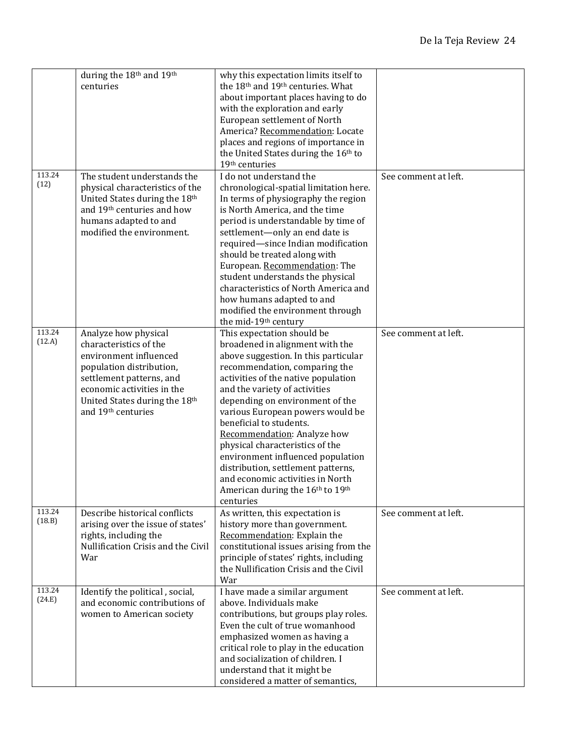|                  | during the 18th and 19th<br>centuries                                                                                                                                                                                 | why this expectation limits itself to<br>the 18th and 19th centuries. What<br>about important places having to do<br>with the exploration and early<br>European settlement of North<br>America? Recommendation: Locate<br>places and regions of importance in<br>the United States during the 16th to<br>19th centuries                                                                                                                                                                                                                                                    |                      |
|------------------|-----------------------------------------------------------------------------------------------------------------------------------------------------------------------------------------------------------------------|----------------------------------------------------------------------------------------------------------------------------------------------------------------------------------------------------------------------------------------------------------------------------------------------------------------------------------------------------------------------------------------------------------------------------------------------------------------------------------------------------------------------------------------------------------------------------|----------------------|
| 113.24<br>(12)   | The student understands the<br>physical characteristics of the<br>United States during the 18th<br>and 19th centuries and how<br>humans adapted to and<br>modified the environment.                                   | I do not understand the<br>chronological-spatial limitation here.<br>In terms of physiography the region<br>is North America, and the time<br>period is understandable by time of<br>settlement-only an end date is<br>required-since Indian modification<br>should be treated along with<br>European. Recommendation: The<br>student understands the physical<br>characteristics of North America and<br>how humans adapted to and<br>modified the environment through<br>the mid-19th century                                                                            | See comment at left. |
| 113.24<br>(12.A) | Analyze how physical<br>characteristics of the<br>environment influenced<br>population distribution,<br>settlement patterns, and<br>economic activities in the<br>United States during the 18th<br>and 19th centuries | This expectation should be<br>broadened in alignment with the<br>above suggestion. In this particular<br>recommendation, comparing the<br>activities of the native population<br>and the variety of activities<br>depending on environment of the<br>various European powers would be<br>beneficial to students.<br>Recommendation: Analyze how<br>physical characteristics of the<br>environment influenced population<br>distribution, settlement patterns,<br>and economic activities in North<br>American during the 16 <sup>th</sup> to 19 <sup>th</sup><br>centuries | See comment at left. |
| 113.24<br>(18.B) | Describe historical conflicts<br>arising over the issue of states'<br>rights, including the<br>Nullification Crisis and the Civil<br>War                                                                              | As written, this expectation is<br>history more than government.<br>Recommendation: Explain the<br>constitutional issues arising from the<br>principle of states' rights, including<br>the Nullification Crisis and the Civil<br>War                                                                                                                                                                                                                                                                                                                                       | See comment at left. |
| 113.24<br>(24.E) | Identify the political, social,<br>and economic contributions of<br>women to American society                                                                                                                         | I have made a similar argument<br>above. Individuals make<br>contributions, but groups play roles.<br>Even the cult of true womanhood<br>emphasized women as having a<br>critical role to play in the education<br>and socialization of children. I<br>understand that it might be<br>considered a matter of semantics,                                                                                                                                                                                                                                                    | See comment at left. |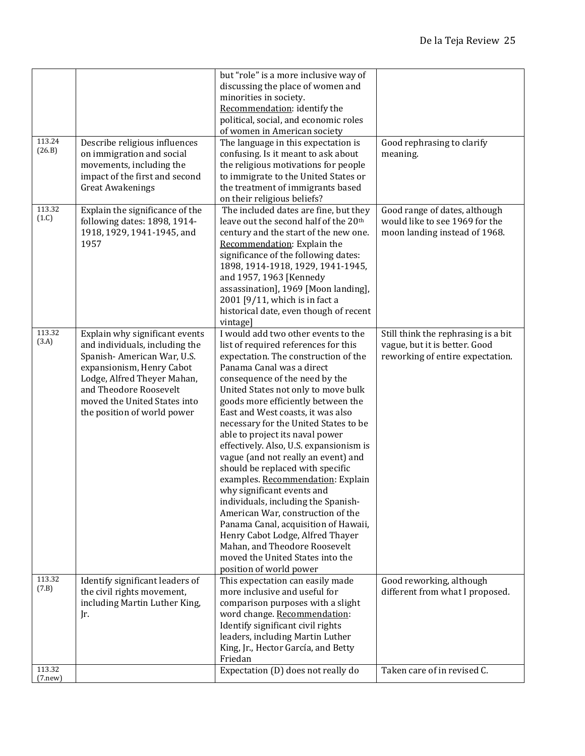| 113.24<br>(26.B)   | Describe religious influences<br>on immigration and social<br>movements, including the<br>impact of the first and second<br><b>Great Awakenings</b>                                                                                                 | but "role" is a more inclusive way of<br>discussing the place of women and<br>minorities in society.<br>Recommendation: identify the<br>political, social, and economic roles<br>of women in American society<br>The language in this expectation is<br>confusing. Is it meant to ask about<br>the religious motivations for people<br>to immigrate to the United States or<br>the treatment of immigrants based                                                                                                                                                                                                                                                                                                                                                                                                                  | Good rephrasing to clarify<br>meaning.                                                                   |
|--------------------|-----------------------------------------------------------------------------------------------------------------------------------------------------------------------------------------------------------------------------------------------------|-----------------------------------------------------------------------------------------------------------------------------------------------------------------------------------------------------------------------------------------------------------------------------------------------------------------------------------------------------------------------------------------------------------------------------------------------------------------------------------------------------------------------------------------------------------------------------------------------------------------------------------------------------------------------------------------------------------------------------------------------------------------------------------------------------------------------------------|----------------------------------------------------------------------------------------------------------|
| 113.32<br>(1.C)    | Explain the significance of the<br>following dates: 1898, 1914-<br>1918, 1929, 1941-1945, and<br>1957                                                                                                                                               | on their religious beliefs?<br>The included dates are fine, but they<br>leave out the second half of the 20 <sup>th</sup><br>century and the start of the new one.<br>Recommendation: Explain the<br>significance of the following dates:<br>1898, 1914-1918, 1929, 1941-1945,<br>and 1957, 1963 [Kennedy<br>assassination], 1969 [Moon landing],<br>2001 [9/11, which is in fact a<br>historical date, even though of recent<br>vintage]                                                                                                                                                                                                                                                                                                                                                                                         | Good range of dates, although<br>would like to see 1969 for the<br>moon landing instead of 1968.         |
| 113.32<br>(3.A)    | Explain why significant events<br>and individuals, including the<br>Spanish-American War, U.S.<br>expansionism, Henry Cabot<br>Lodge, Alfred Theyer Mahan,<br>and Theodore Roosevelt<br>moved the United States into<br>the position of world power | I would add two other events to the<br>list of required references for this<br>expectation. The construction of the<br>Panama Canal was a direct<br>consequence of the need by the<br>United States not only to move bulk<br>goods more efficiently between the<br>East and West coasts, it was also<br>necessary for the United States to be<br>able to project its naval power<br>effectively. Also, U.S. expansionism is<br>vague (and not really an event) and<br>should be replaced with specific<br>examples. Recommendation: Explain<br>why significant events and<br>individuals, including the Spanish-<br>American War, construction of the<br>Panama Canal, acquisition of Hawaii,<br>Henry Cabot Lodge, Alfred Thayer<br>Mahan, and Theodore Roosevelt<br>moved the United States into the<br>position of world power | Still think the rephrasing is a bit<br>vague, but it is better. Good<br>reworking of entire expectation. |
| 113.32<br>(7.B)    | Identify significant leaders of<br>the civil rights movement,<br>including Martin Luther King,<br>Jr.                                                                                                                                               | This expectation can easily made<br>more inclusive and useful for<br>comparison purposes with a slight<br>word change. Recommendation:<br>Identify significant civil rights<br>leaders, including Martin Luther<br>King, Jr., Hector García, and Betty<br>Friedan                                                                                                                                                                                                                                                                                                                                                                                                                                                                                                                                                                 | Good reworking, although<br>different from what I proposed.                                              |
| 113.32<br>(7. new) |                                                                                                                                                                                                                                                     | Expectation (D) does not really do                                                                                                                                                                                                                                                                                                                                                                                                                                                                                                                                                                                                                                                                                                                                                                                                | Taken care of in revised C.                                                                              |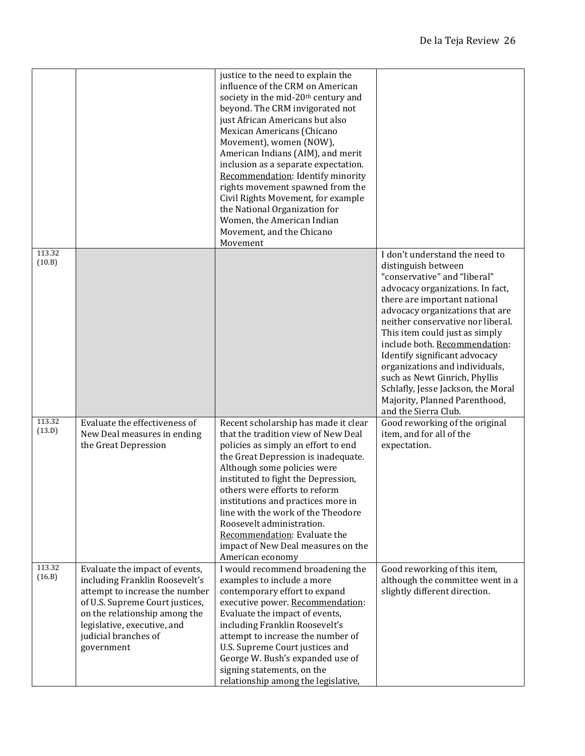|                  |                                                                                                                                                                                                                                             | justice to the need to explain the<br>influence of the CRM on American<br>society in the mid-20 <sup>th</sup> century and<br>beyond. The CRM invigorated not<br>just African Americans but also<br>Mexican Americans (Chicano<br>Movement), women (NOW),<br>American Indians (AIM), and merit<br>inclusion as a separate expectation.<br>Recommendation: Identify minority<br>rights movement spawned from the<br>Civil Rights Movement, for example<br>the National Organization for<br>Women, the American Indian<br>Movement, and the Chicano<br>Movement |                                                                                                                                                                                                                                                                                                                                                                                                                                                                                                         |
|------------------|---------------------------------------------------------------------------------------------------------------------------------------------------------------------------------------------------------------------------------------------|--------------------------------------------------------------------------------------------------------------------------------------------------------------------------------------------------------------------------------------------------------------------------------------------------------------------------------------------------------------------------------------------------------------------------------------------------------------------------------------------------------------------------------------------------------------|---------------------------------------------------------------------------------------------------------------------------------------------------------------------------------------------------------------------------------------------------------------------------------------------------------------------------------------------------------------------------------------------------------------------------------------------------------------------------------------------------------|
| 113.32<br>(10.B) |                                                                                                                                                                                                                                             |                                                                                                                                                                                                                                                                                                                                                                                                                                                                                                                                                              | I don't understand the need to<br>distinguish between<br>"conservative" and "liberal"<br>advocacy organizations. In fact,<br>there are important national<br>advocacy organizations that are<br>neither conservative nor liberal.<br>This item could just as simply<br>include both. Recommendation:<br>Identify significant advocacy<br>organizations and individuals,<br>such as Newt Ginrich, Phyllis<br>Schlafly, Jesse Jackson, the Moral<br>Majority, Planned Parenthood,<br>and the Sierra Club. |
| 113.32<br>(13.D) | Evaluate the effectiveness of<br>New Deal measures in ending<br>the Great Depression                                                                                                                                                        | Recent scholarship has made it clear<br>that the tradition view of New Deal<br>policies as simply an effort to end<br>the Great Depression is inadequate.<br>Although some policies were<br>instituted to fight the Depression,<br>others were efforts to reform<br>institutions and practices more in<br>line with the work of the Theodore<br>Roosevelt administration.<br>Recommendation: Evaluate the<br>impact of New Deal measures on the<br>American economy                                                                                          | Good reworking of the original<br>item, and for all of the<br>expectation.                                                                                                                                                                                                                                                                                                                                                                                                                              |
| 113.32<br>(16.B) | Evaluate the impact of events,<br>including Franklin Roosevelt's<br>attempt to increase the number<br>of U.S. Supreme Court justices,<br>on the relationship among the<br>legislative, executive, and<br>judicial branches of<br>government | I would recommend broadening the<br>examples to include a more<br>contemporary effort to expand<br>executive power. Recommendation:<br>Evaluate the impact of events,<br>including Franklin Roosevelt's<br>attempt to increase the number of<br>U.S. Supreme Court justices and<br>George W. Bush's expanded use of<br>signing statements, on the<br>relationship among the legislative,                                                                                                                                                                     | Good reworking of this item,<br>although the committee went in a<br>slightly different direction.                                                                                                                                                                                                                                                                                                                                                                                                       |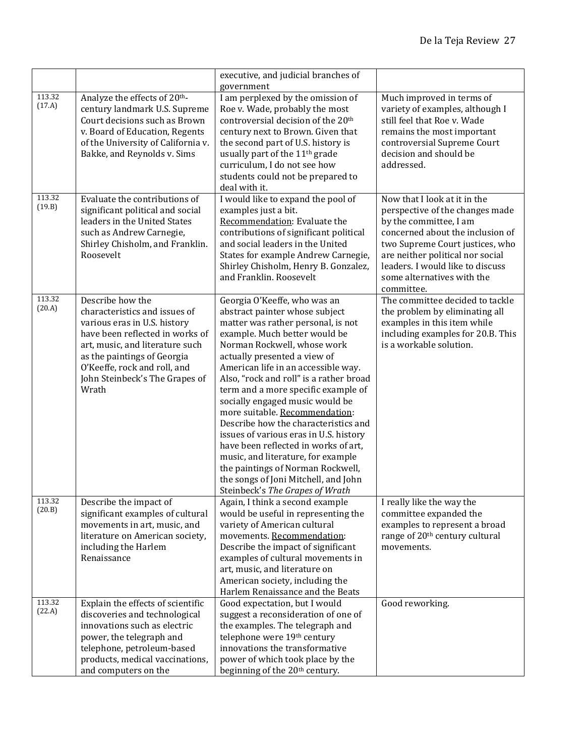|                  |                                                                                                                                                                                                                                                                   | executive, and judicial branches of<br>government                                                                                                                                                                                                                                                                                                                                                                                                                                                                                                                                                                                                                                  |                                                                                                                                                                                                                                                                                      |
|------------------|-------------------------------------------------------------------------------------------------------------------------------------------------------------------------------------------------------------------------------------------------------------------|------------------------------------------------------------------------------------------------------------------------------------------------------------------------------------------------------------------------------------------------------------------------------------------------------------------------------------------------------------------------------------------------------------------------------------------------------------------------------------------------------------------------------------------------------------------------------------------------------------------------------------------------------------------------------------|--------------------------------------------------------------------------------------------------------------------------------------------------------------------------------------------------------------------------------------------------------------------------------------|
| 113.32<br>(17.A) | Analyze the effects of 20 <sup>th</sup> -<br>century landmark U.S. Supreme<br>Court decisions such as Brown<br>v. Board of Education, Regents<br>of the University of California v.<br>Bakke, and Reynolds v. Sims                                                | I am perplexed by the omission of<br>Roe v. Wade, probably the most<br>controversial decision of the 20 <sup>th</sup><br>century next to Brown. Given that<br>the second part of U.S. history is<br>usually part of the 11 <sup>th</sup> grade<br>curriculum, I do not see how<br>students could not be prepared to<br>deal with it.                                                                                                                                                                                                                                                                                                                                               | Much improved in terms of<br>variety of examples, although I<br>still feel that Roe v. Wade<br>remains the most important<br>controversial Supreme Court<br>decision and should be<br>addressed.                                                                                     |
| 113.32<br>(19.B) | Evaluate the contributions of<br>significant political and social<br>leaders in the United States<br>such as Andrew Carnegie,<br>Shirley Chisholm, and Franklin.<br>Roosevelt                                                                                     | I would like to expand the pool of<br>examples just a bit.<br>Recommendation: Evaluate the<br>contributions of significant political<br>and social leaders in the United<br>States for example Andrew Carnegie,<br>Shirley Chisholm, Henry B. Gonzalez,<br>and Franklin. Roosevelt                                                                                                                                                                                                                                                                                                                                                                                                 | Now that I look at it in the<br>perspective of the changes made<br>by the committee, I am<br>concerned about the inclusion of<br>two Supreme Court justices, who<br>are neither political nor social<br>leaders. I would like to discuss<br>some alternatives with the<br>committee. |
| 113.32<br>(20.A) | Describe how the<br>characteristics and issues of<br>various eras in U.S. history<br>have been reflected in works of<br>art, music, and literature such<br>as the paintings of Georgia<br>O'Keeffe, rock and roll, and<br>John Steinbeck's The Grapes of<br>Wrath | Georgia O'Keeffe, who was an<br>abstract painter whose subject<br>matter was rather personal, is not<br>example. Much better would be<br>Norman Rockwell, whose work<br>actually presented a view of<br>American life in an accessible way.<br>Also, "rock and roll" is a rather broad<br>term and a more specific example of<br>socially engaged music would be<br>more suitable. Recommendation:<br>Describe how the characteristics and<br>issues of various eras in U.S. history<br>have been reflected in works of art,<br>music, and literature, for example<br>the paintings of Norman Rockwell,<br>the songs of Joni Mitchell, and John<br>Steinbeck's The Grapes of Wrath | The committee decided to tackle<br>the problem by eliminating all<br>examples in this item while<br>including examples for 20.B. This<br>is a workable solution.                                                                                                                     |
| 113.32<br>(20.B) | Describe the impact of<br>significant examples of cultural<br>movements in art, music, and<br>literature on American society,<br>including the Harlem<br>Renaissance                                                                                              | Again, I think a second example<br>would be useful in representing the<br>variety of American cultural<br>movements. Recommendation:<br>Describe the impact of significant<br>examples of cultural movements in<br>art, music, and literature on<br>American society, including the<br>Harlem Renaissance and the Beats                                                                                                                                                                                                                                                                                                                                                            | I really like the way the<br>committee expanded the<br>examples to represent a broad<br>range of 20 <sup>th</sup> century cultural<br>movements.                                                                                                                                     |
| 113.32<br>(22.A) | Explain the effects of scientific<br>discoveries and technological<br>innovations such as electric<br>power, the telegraph and<br>telephone, petroleum-based<br>products, medical vaccinations,<br>and computers on the                                           | Good expectation, but I would<br>suggest a reconsideration of one of<br>the examples. The telegraph and<br>telephone were 19th century<br>innovations the transformative<br>power of which took place by the<br>beginning of the 20 <sup>th</sup> century.                                                                                                                                                                                                                                                                                                                                                                                                                         | Good reworking.                                                                                                                                                                                                                                                                      |